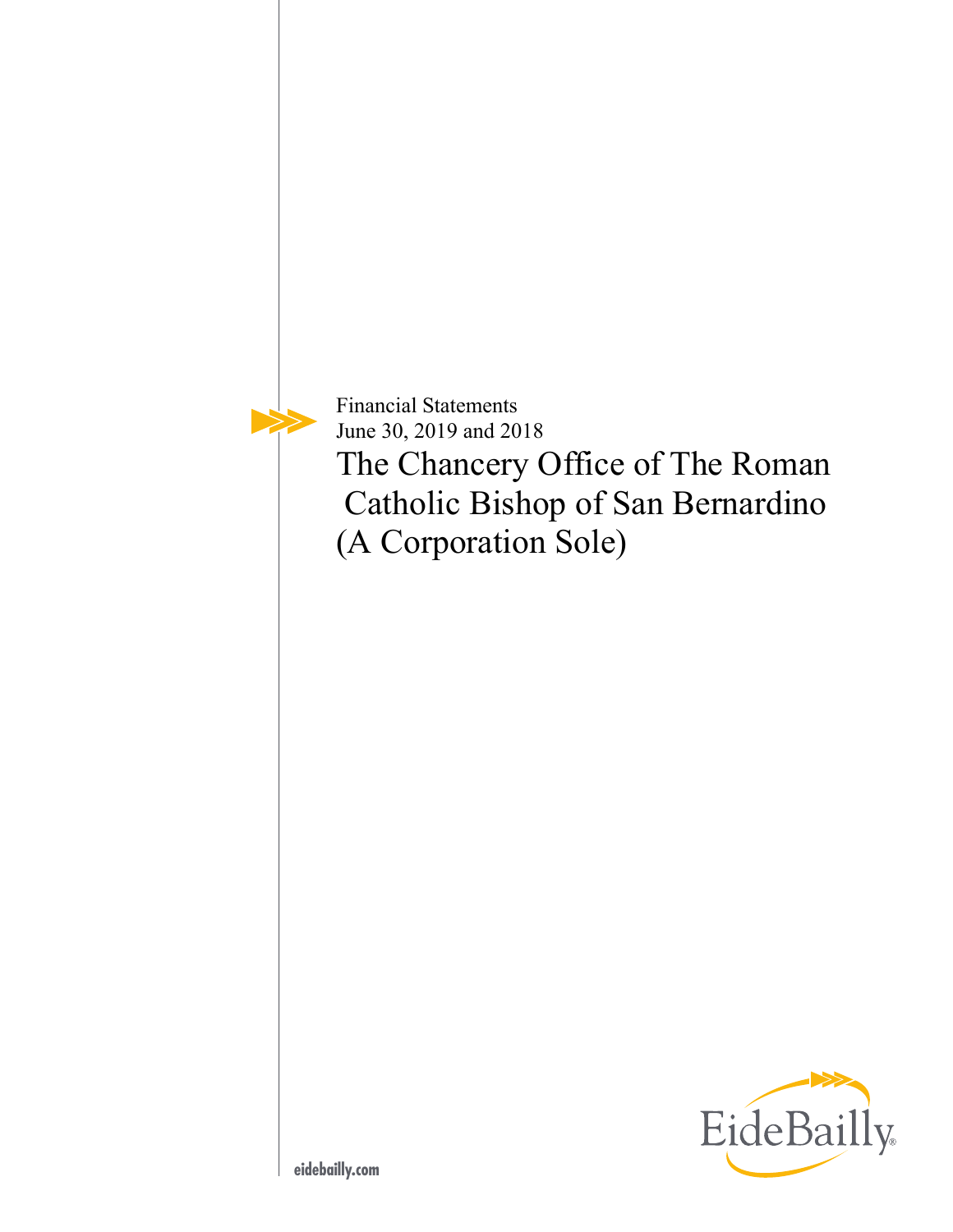Financial Statements June 30, 2019 and 2018

The Chancery Office of The Roman Catholic Bishop of San Bernardino (A Corporation Sole)

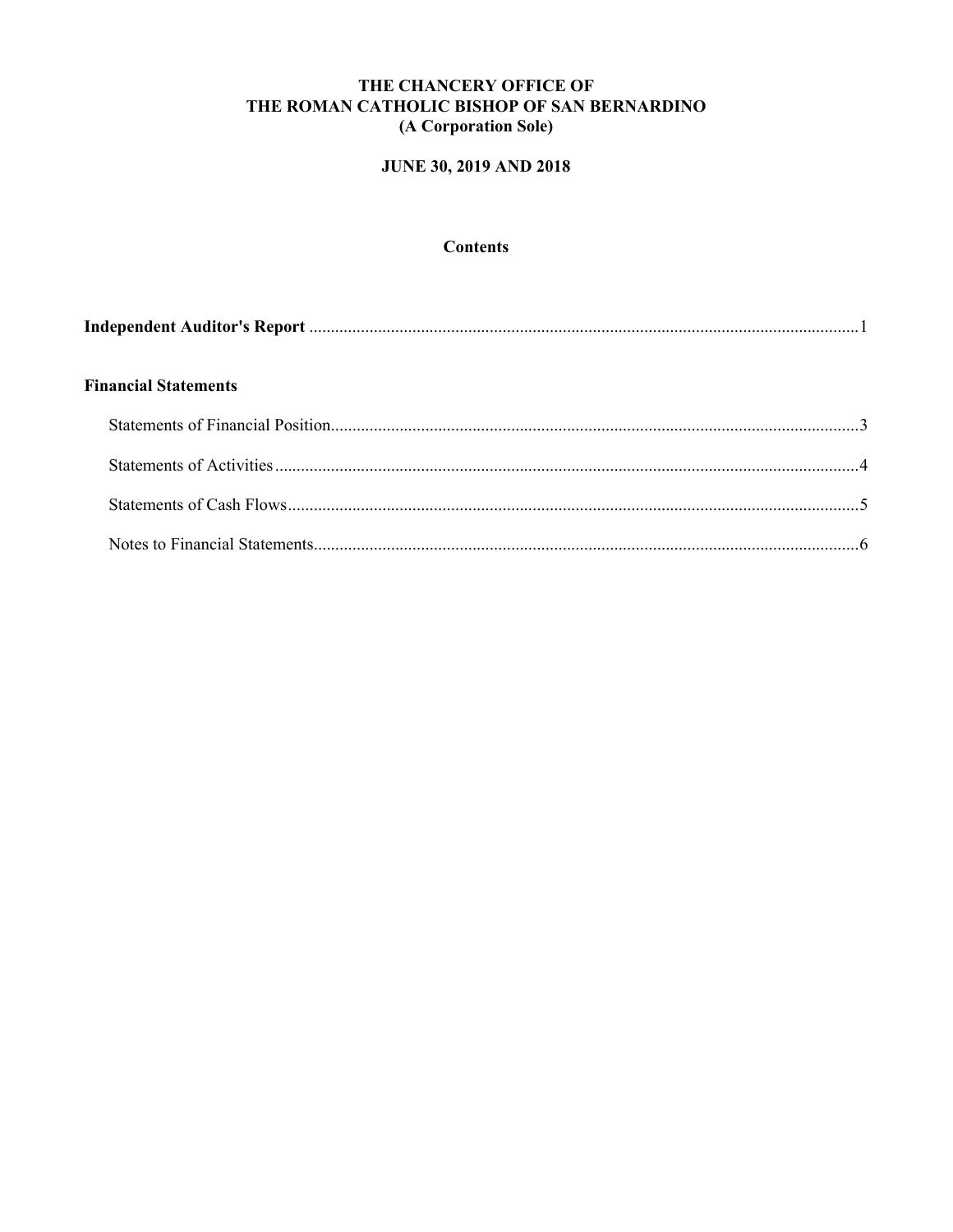# **JUNE 30, 2019 AND 2018**

# **Contents**

| <b>Financial Statements</b> |  |
|-----------------------------|--|
|                             |  |
|                             |  |
|                             |  |
|                             |  |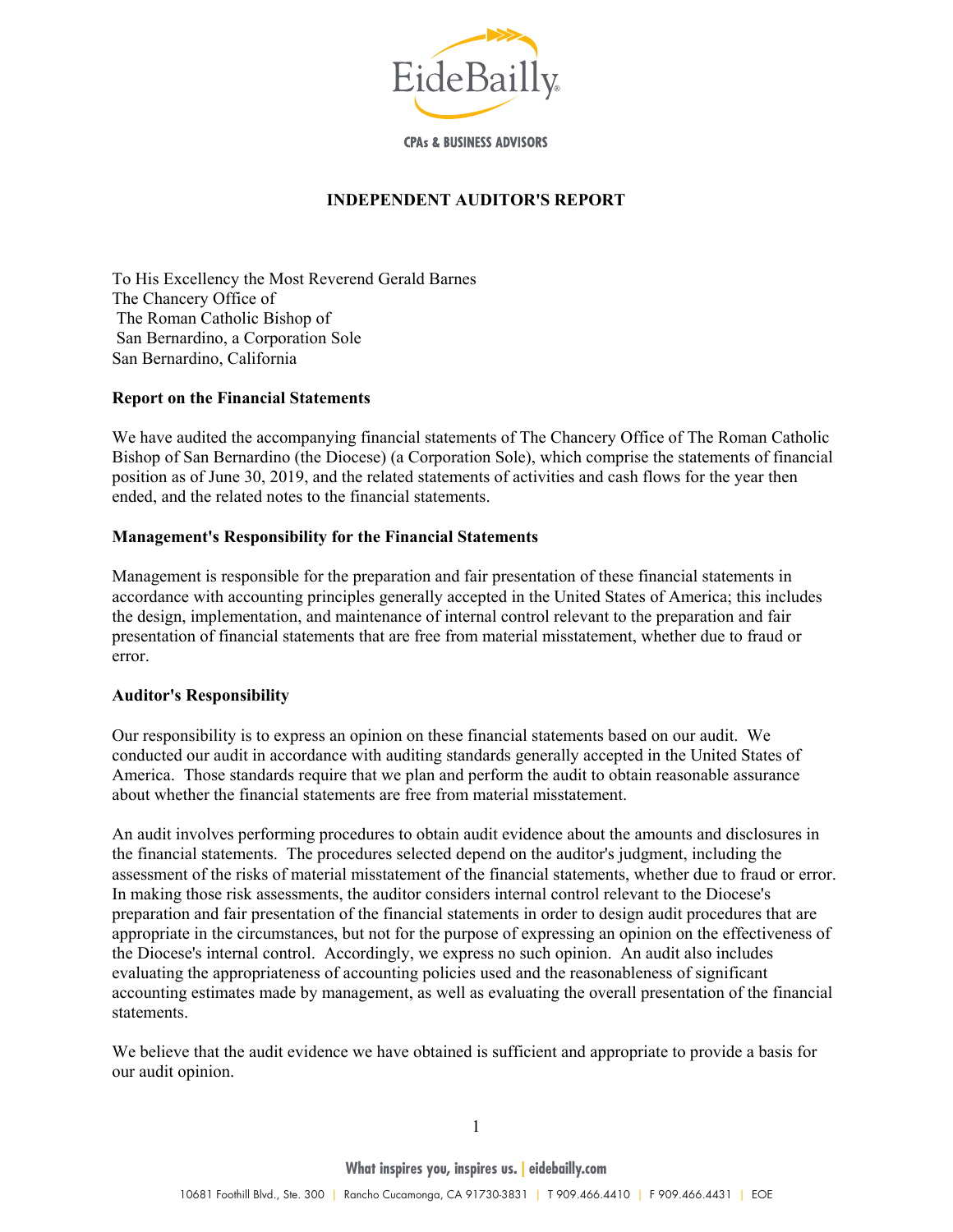

**CPAs & BUSINESS ADVISORS** 

## **INDEPENDENT AUDITOR'S REPORT**

To His Excellency the Most Reverend Gerald Barnes The Chancery Office of The Roman Catholic Bishop of San Bernardino, a Corporation Sole San Bernardino, California

#### **Report on the Financial Statements**

We have audited the accompanying financial statements of The Chancery Office of The Roman Catholic Bishop of San Bernardino (the Diocese) (a Corporation Sole), which comprise the statements of financial position as of June 30, 2019, and the related statements of activities and cash flows for the year then ended, and the related notes to the financial statements.

#### **Management's Responsibility for the Financial Statements**

Management is responsible for the preparation and fair presentation of these financial statements in accordance with accounting principles generally accepted in the United States of America; this includes the design, implementation, and maintenance of internal control relevant to the preparation and fair presentation of financial statements that are free from material misstatement, whether due to fraud or error.

#### **Auditor's Responsibility**

Our responsibility is to express an opinion on these financial statements based on our audit. We conducted our audit in accordance with auditing standards generally accepted in the United States of America. Those standards require that we plan and perform the audit to obtain reasonable assurance about whether the financial statements are free from material misstatement.

An audit involves performing procedures to obtain audit evidence about the amounts and disclosures in the financial statements. The procedures selected depend on the auditor's judgment, including the assessment of the risks of material misstatement of the financial statements, whether due to fraud or error. In making those risk assessments, the auditor considers internal control relevant to the Diocese's preparation and fair presentation of the financial statements in order to design audit procedures that are appropriate in the circumstances, but not for the purpose of expressing an opinion on the effectiveness of the Diocese's internal control. Accordingly, we express no such opinion. An audit also includes evaluating the appropriateness of accounting policies used and the reasonableness of significant accounting estimates made by management, as well as evaluating the overall presentation of the financial statements.

We believe that the audit evidence we have obtained is sufficient and appropriate to provide a basis for our audit opinion.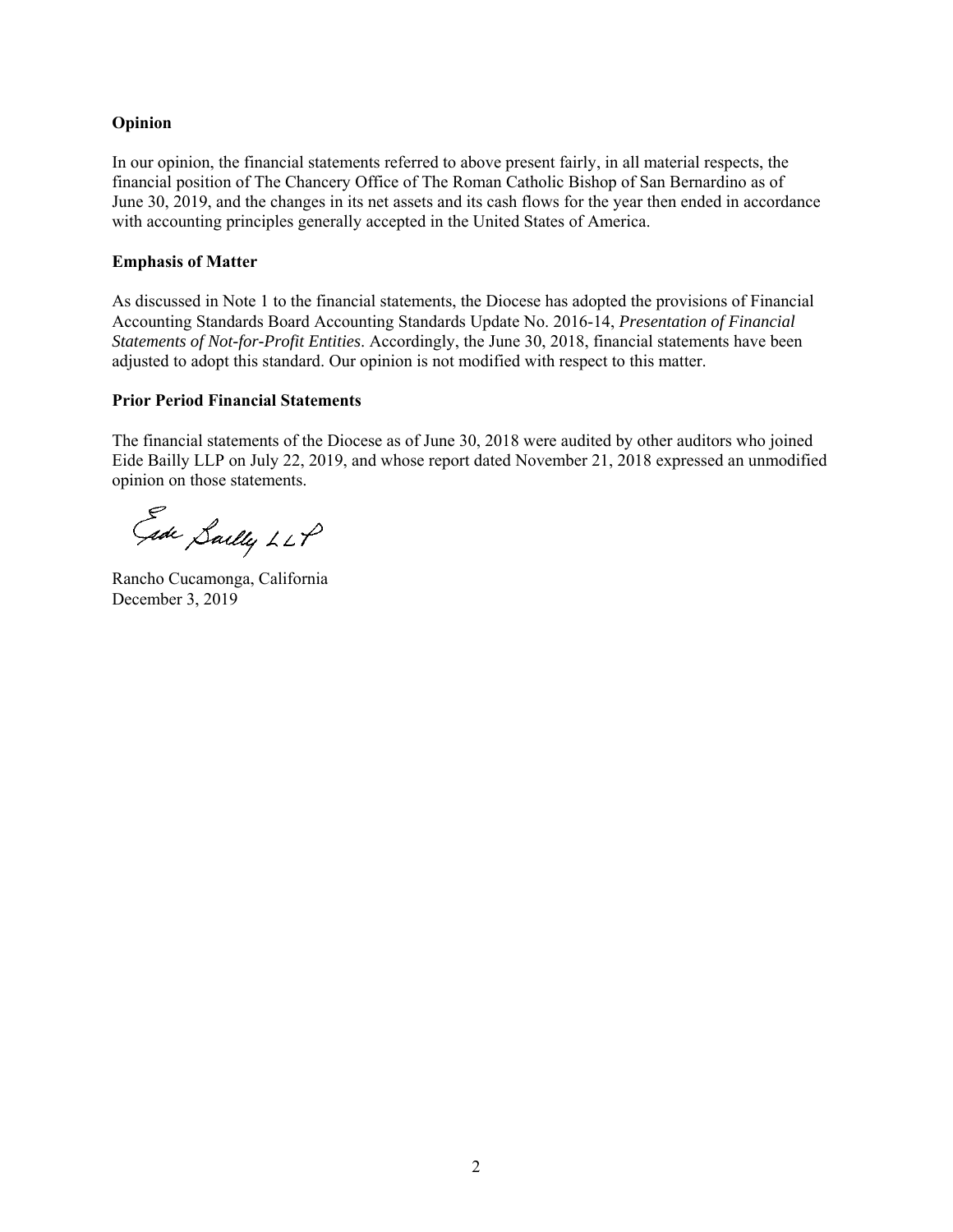#### **Opinion**

In our opinion, the financial statements referred to above present fairly, in all material respects, the financial position of The Chancery Office of The Roman Catholic Bishop of San Bernardino as of June 30, 2019, and the changes in its net assets and its cash flows for the year then ended in accordance with accounting principles generally accepted in the United States of America.

#### **Emphasis of Matter**

As discussed in Note 1 to the financial statements, the Diocese has adopted the provisions of Financial Accounting Standards Board Accounting Standards Update No. 2016-14, *Presentation of Financial Statements of Not-for-Profit Entities*. Accordingly, the June 30, 2018, financial statements have been adjusted to adopt this standard. Our opinion is not modified with respect to this matter.

#### **Prior Period Financial Statements**

The financial statements of the Diocese as of June 30, 2018 were audited by other auditors who joined Eide Bailly LLP on July 22, 2019, and whose report dated November 21, 2018 expressed an unmodified opinion on those statements.

Gide Sailly LLP

Rancho Cucamonga, California December 3, 2019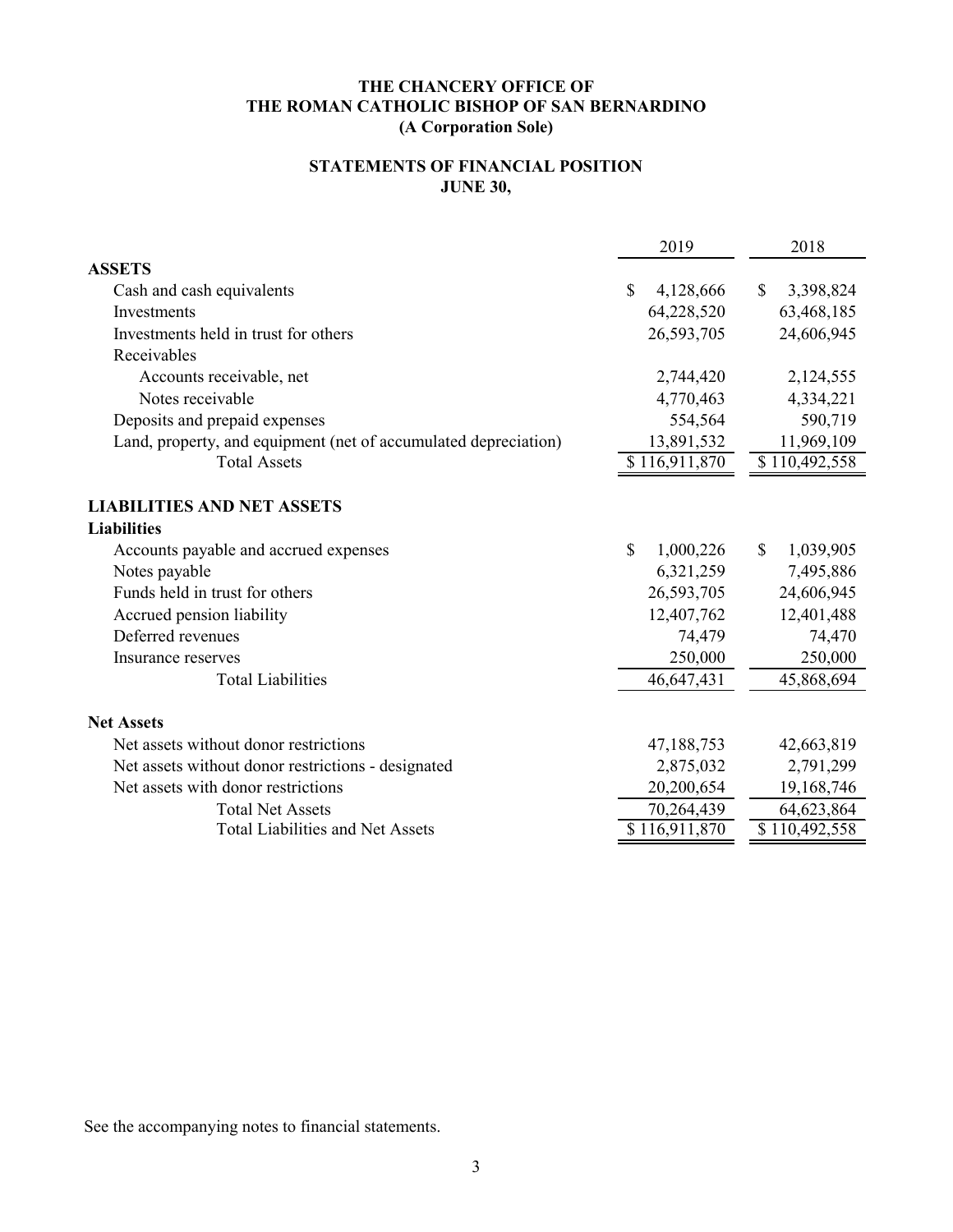# **STATEMENTS OF FINANCIAL POSITION JUNE 30,**

|                                                                 | 2019                      | 2018                       |
|-----------------------------------------------------------------|---------------------------|----------------------------|
| <b>ASSETS</b>                                                   |                           |                            |
| Cash and cash equivalents                                       | $\mathbb{S}$<br>4,128,666 | $\mathcal{S}$<br>3,398,824 |
| Investments                                                     | 64,228,520                | 63,468,185                 |
| Investments held in trust for others                            | 26,593,705                | 24,606,945                 |
| Receivables                                                     |                           |                            |
| Accounts receivable, net                                        | 2,744,420                 | 2,124,555                  |
| Notes receivable                                                | 4,770,463                 | 4,334,221                  |
| Deposits and prepaid expenses                                   | 554,564                   | 590,719                    |
| Land, property, and equipment (net of accumulated depreciation) | 13,891,532                | 11,969,109                 |
| <b>Total Assets</b>                                             | \$116,911,870             | \$110,492,558              |
| <b>LIABILITIES AND NET ASSETS</b>                               |                           |                            |
| <b>Liabilities</b>                                              |                           |                            |
| Accounts payable and accrued expenses                           | $\mathbb{S}$<br>1,000,226 | \$<br>1,039,905            |
| Notes payable                                                   | 6,321,259                 | 7,495,886                  |
| Funds held in trust for others                                  | 26,593,705                | 24,606,945                 |
| Accrued pension liability                                       | 12,407,762                | 12,401,488                 |
| Deferred revenues                                               | 74,479                    | 74,470                     |
| Insurance reserves                                              | 250,000                   | 250,000                    |
| <b>Total Liabilities</b>                                        | 46,647,431                | 45,868,694                 |
| <b>Net Assets</b>                                               |                           |                            |
| Net assets without donor restrictions                           | 47,188,753                | 42,663,819                 |
| Net assets without donor restrictions - designated              | 2,875,032                 | 2,791,299                  |
| Net assets with donor restrictions                              | 20,200,654                | 19,168,746                 |
| <b>Total Net Assets</b>                                         | 70,264,439                | 64,623,864                 |
| <b>Total Liabilities and Net Assets</b>                         | \$116,911,870             | \$110,492,558              |
|                                                                 |                           |                            |

See the accompanying notes to financial statements.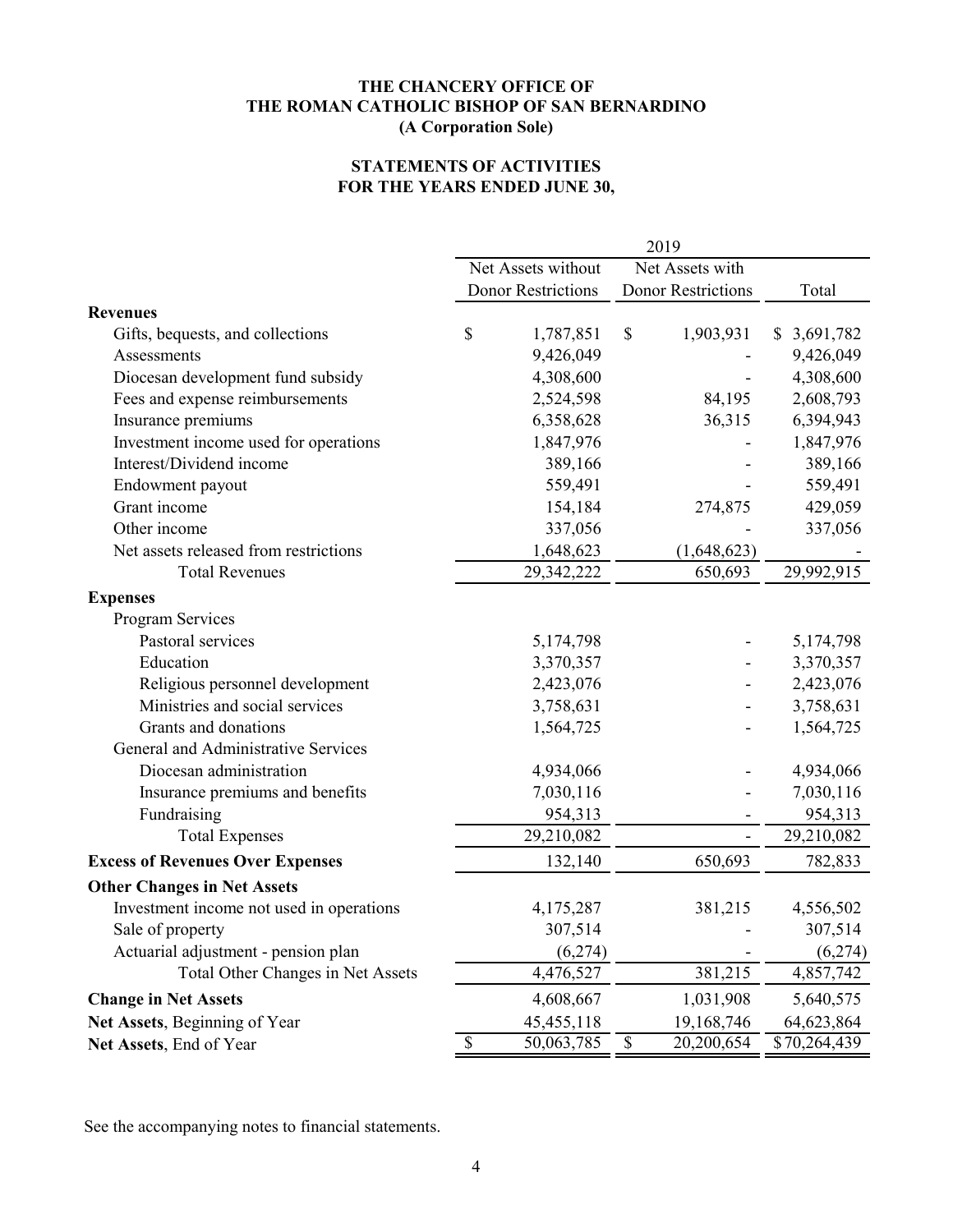# **STATEMENTS OF ACTIVITIES FOR THE YEARS ENDED JUNE 30,**

|                                          | 2019                                  |                           |             |                           |  |              |
|------------------------------------------|---------------------------------------|---------------------------|-------------|---------------------------|--|--------------|
|                                          | Net Assets without<br>Net Assets with |                           |             |                           |  |              |
|                                          |                                       | <b>Donor Restrictions</b> |             | <b>Donor Restrictions</b> |  | Total        |
| <b>Revenues</b>                          |                                       |                           |             |                           |  |              |
| Gifts, bequests, and collections         | \$                                    | 1,787,851                 | \$          | 1,903,931                 |  | \$3,691,782  |
| Assessments                              |                                       | 9,426,049                 |             |                           |  | 9,426,049    |
| Diocesan development fund subsidy        |                                       | 4,308,600                 |             |                           |  | 4,308,600    |
| Fees and expense reimbursements          |                                       | 2,524,598                 |             | 84,195                    |  | 2,608,793    |
| Insurance premiums                       |                                       | 6,358,628                 |             | 36,315                    |  | 6,394,943    |
| Investment income used for operations    |                                       | 1,847,976                 |             |                           |  | 1,847,976    |
| Interest/Dividend income                 |                                       | 389,166                   |             |                           |  | 389,166      |
| Endowment payout                         |                                       | 559,491                   |             |                           |  | 559,491      |
| Grant income                             |                                       | 154,184                   |             | 274,875                   |  | 429,059      |
| Other income                             |                                       | 337,056                   |             |                           |  | 337,056      |
| Net assets released from restrictions    |                                       | 1,648,623                 |             | (1,648,623)               |  |              |
| <b>Total Revenues</b>                    |                                       | 29,342,222                |             | 650,693                   |  | 29,992,915   |
| <b>Expenses</b>                          |                                       |                           |             |                           |  |              |
| Program Services                         |                                       |                           |             |                           |  |              |
| Pastoral services                        |                                       | 5,174,798                 |             |                           |  | 5,174,798    |
| Education                                |                                       | 3,370,357                 |             |                           |  | 3,370,357    |
| Religious personnel development          |                                       | 2,423,076                 |             |                           |  | 2,423,076    |
| Ministries and social services           |                                       | 3,758,631                 |             |                           |  | 3,758,631    |
| Grants and donations                     |                                       | 1,564,725                 |             |                           |  | 1,564,725    |
| General and Administrative Services      |                                       |                           |             |                           |  |              |
| Diocesan administration                  |                                       | 4,934,066                 |             |                           |  | 4,934,066    |
| Insurance premiums and benefits          |                                       | 7,030,116                 |             |                           |  | 7,030,116    |
| Fundraising                              |                                       | 954,313                   |             |                           |  | 954,313      |
| <b>Total Expenses</b>                    |                                       | 29,210,082                |             |                           |  | 29,210,082   |
| <b>Excess of Revenues Over Expenses</b>  |                                       | 132,140                   |             | 650,693                   |  | 782,833      |
| <b>Other Changes in Net Assets</b>       |                                       |                           |             |                           |  |              |
| Investment income not used in operations |                                       | 4,175,287                 |             | 381,215                   |  | 4,556,502    |
| Sale of property                         |                                       | 307,514                   |             |                           |  | 307,514      |
| Actuarial adjustment - pension plan      |                                       | (6,274)                   |             |                           |  | (6,274)      |
| Total Other Changes in Net Assets        |                                       | 4,476,527                 |             | 381,215                   |  | 4,857,742    |
| <b>Change in Net Assets</b>              |                                       | 4,608,667                 |             | 1,031,908                 |  | 5,640,575    |
| Net Assets, Beginning of Year            |                                       | 45, 455, 118              |             | 19,168,746                |  | 64,623,864   |
| Net Assets, End of Year                  | $\boldsymbol{\mathsf{S}}$             | 50,063,785                | $\mathbb S$ | 20,200,654                |  | \$70,264,439 |

See the accompanying notes to financial statements.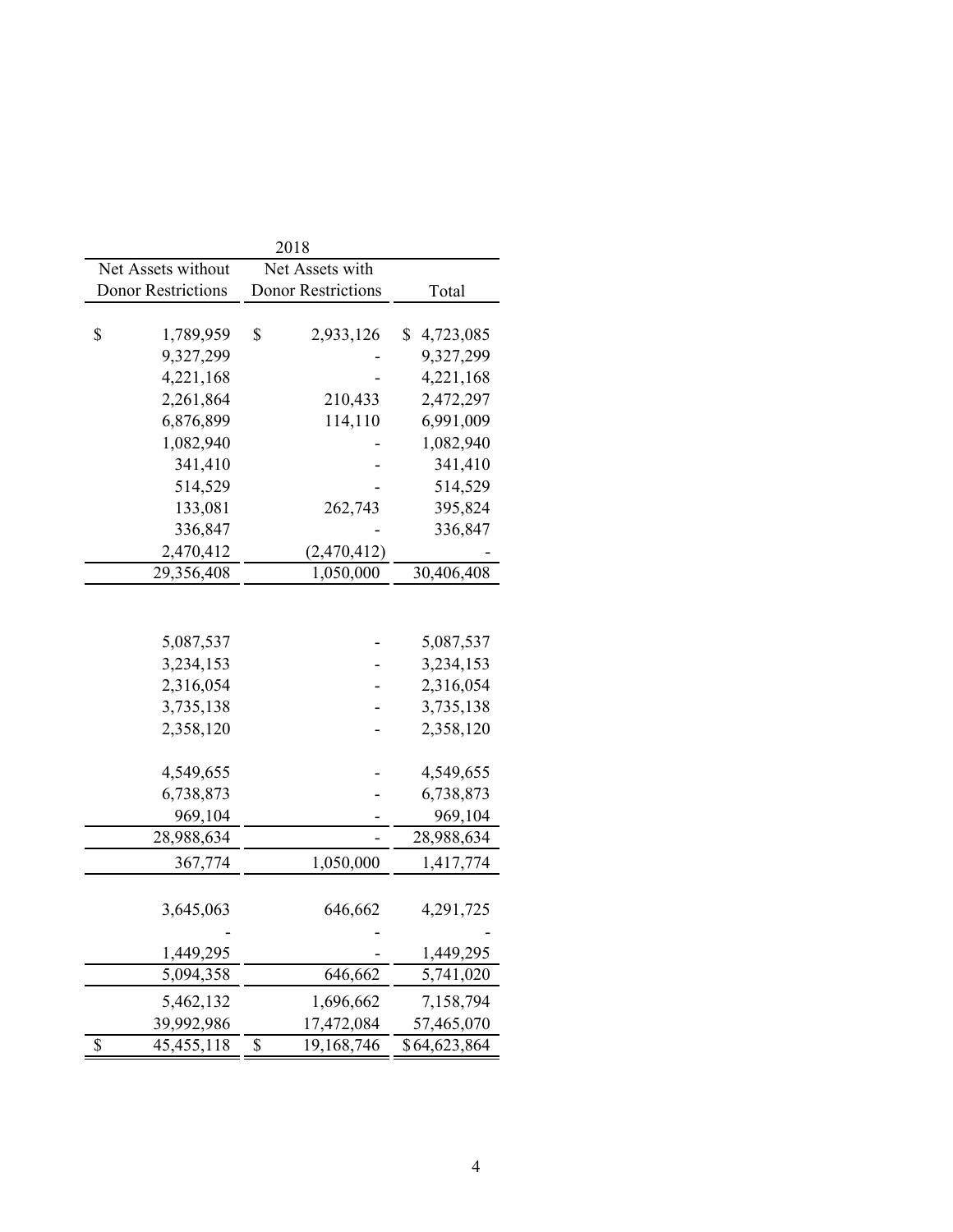|                                       | 2018                      |                          |  |
|---------------------------------------|---------------------------|--------------------------|--|
| Net Assets without<br>Net Assets with |                           |                          |  |
| <b>Donor Restrictions</b>             | <b>Donor Restrictions</b> | Total                    |  |
|                                       |                           |                          |  |
| \$<br>1,789,959                       | \$<br>2,933,126           | \$<br>4,723,085          |  |
| 9,327,299                             |                           | 9,327,299                |  |
| 4,221,168                             |                           | 4,221,168                |  |
| 2,261,864                             | 210,433                   | 2,472,297                |  |
| 6,876,899                             | 114,110                   | 6,991,009                |  |
| 1,082,940                             |                           | 1,082,940                |  |
| 341,410                               |                           | 341,410                  |  |
| 514,529                               |                           | 514,529                  |  |
| 133,081                               | 262,743                   | 395,824                  |  |
| 336,847                               |                           | 336,847                  |  |
| 2,470,412                             | (2,470,412)               |                          |  |
| 29,356,408                            | 1,050,000                 | 30,406,408               |  |
|                                       |                           |                          |  |
|                                       |                           |                          |  |
| 5,087,537                             |                           | 5,087,537                |  |
| 3,234,153                             |                           | 3,234,153                |  |
| 2,316,054                             |                           | 2,316,054                |  |
| 3,735,138                             |                           | 3,735,138                |  |
| 2,358,120                             |                           | 2,358,120                |  |
|                                       |                           |                          |  |
| 4,549,655                             |                           | 4,549,655                |  |
| 6,738,873                             |                           | 6,738,873                |  |
| 969,104                               |                           | 969,104                  |  |
| 28,988,634                            |                           | 28,988,634               |  |
| 367,774                               | 1,050,000                 | 1,417,774                |  |
|                                       |                           |                          |  |
| 3,645,063                             | 646,662                   | 4,291,725                |  |
|                                       |                           |                          |  |
| 1,449,295                             |                           | 1,449,295                |  |
| 5,094,358                             | 646,662                   | 5,741,020                |  |
| 5,462,132                             | 1,696,662                 | 7,158,794                |  |
| 39,992,986                            | 17,472,084                | 57,465,070               |  |
| \$<br>45, 455, 118                    | \$<br>19,168,746          | $\overline{$}64,623,864$ |  |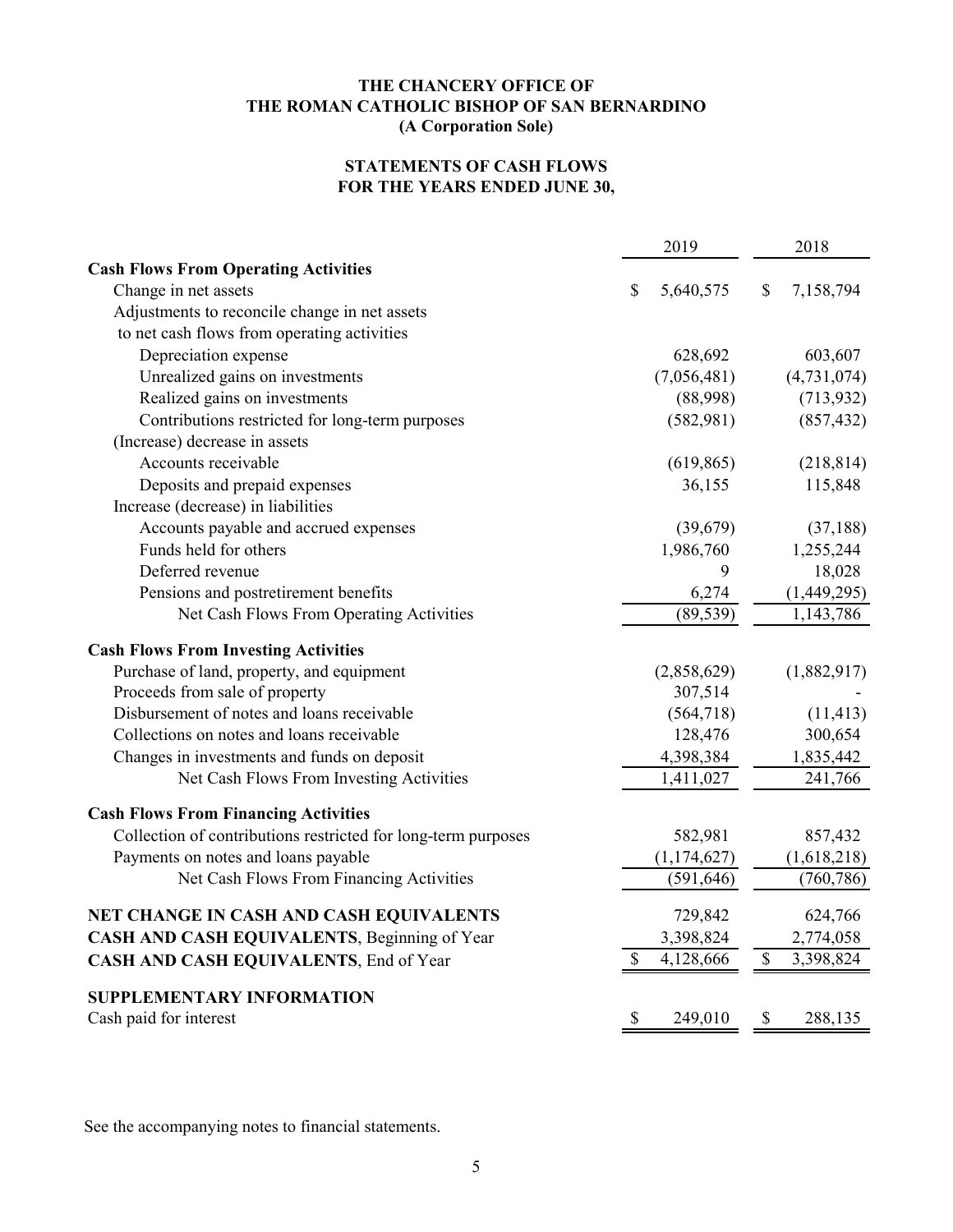# **STATEMENTS OF CASH FLOWS FOR THE YEARS ENDED JUNE 30,**

|                                                               |    | 2019          |                           | 2018          |  |
|---------------------------------------------------------------|----|---------------|---------------------------|---------------|--|
| <b>Cash Flows From Operating Activities</b>                   |    |               |                           |               |  |
| Change in net assets                                          | \$ | 5,640,575     | \$                        | 7,158,794     |  |
| Adjustments to reconcile change in net assets                 |    |               |                           |               |  |
| to net cash flows from operating activities                   |    |               |                           |               |  |
| Depreciation expense                                          |    | 628,692       |                           | 603,607       |  |
| Unrealized gains on investments                               |    | (7,056,481)   |                           | (4, 731, 074) |  |
| Realized gains on investments                                 |    | (88,998)      |                           | (713, 932)    |  |
| Contributions restricted for long-term purposes               |    | (582,981)     |                           | (857, 432)    |  |
| (Increase) decrease in assets                                 |    |               |                           |               |  |
| Accounts receivable                                           |    | (619, 865)    |                           | (218, 814)    |  |
| Deposits and prepaid expenses                                 |    | 36,155        |                           | 115,848       |  |
| Increase (decrease) in liabilities                            |    |               |                           |               |  |
| Accounts payable and accrued expenses                         |    | (39,679)      |                           | (37, 188)     |  |
| Funds held for others                                         |    | 1,986,760     |                           | 1,255,244     |  |
| Deferred revenue                                              |    | 9             |                           | 18,028        |  |
| Pensions and postretirement benefits                          |    | 6,274         |                           | (1,449,295)   |  |
| Net Cash Flows From Operating Activities                      |    | (89, 539)     |                           | 1,143,786     |  |
| <b>Cash Flows From Investing Activities</b>                   |    |               |                           |               |  |
| Purchase of land, property, and equipment                     |    | (2,858,629)   |                           | (1,882,917)   |  |
| Proceeds from sale of property                                |    | 307,514       |                           |               |  |
| Disbursement of notes and loans receivable                    |    | (564, 718)    |                           | (11, 413)     |  |
| Collections on notes and loans receivable                     |    | 128,476       |                           | 300,654       |  |
| Changes in investments and funds on deposit                   |    | 4,398,384     |                           | 1,835,442     |  |
| Net Cash Flows From Investing Activities                      |    | 1,411,027     |                           | 241,766       |  |
| <b>Cash Flows From Financing Activities</b>                   |    |               |                           |               |  |
| Collection of contributions restricted for long-term purposes |    | 582,981       |                           | 857,432       |  |
| Payments on notes and loans payable                           |    | (1, 174, 627) |                           | (1,618,218)   |  |
| Net Cash Flows From Financing Activities                      |    | (591, 646)    |                           | (760, 786)    |  |
| NET CHANGE IN CASH AND CASH EQUIVALENTS                       |    | 729,842       |                           | 624,766       |  |
| CASH AND CASH EQUIVALENTS, Beginning of Year                  |    | 3,398,824     |                           | 2,774,058     |  |
| CASH AND CASH EQUIVALENTS, End of Year                        | \$ | 4,128,666     | $\boldsymbol{\mathsf{S}}$ | 3,398,824     |  |
| <b>SUPPLEMENTARY INFORMATION</b>                              |    |               |                           |               |  |
| Cash paid for interest                                        | \$ | 249,010       | \$                        | 288,135       |  |

See the accompanying notes to financial statements.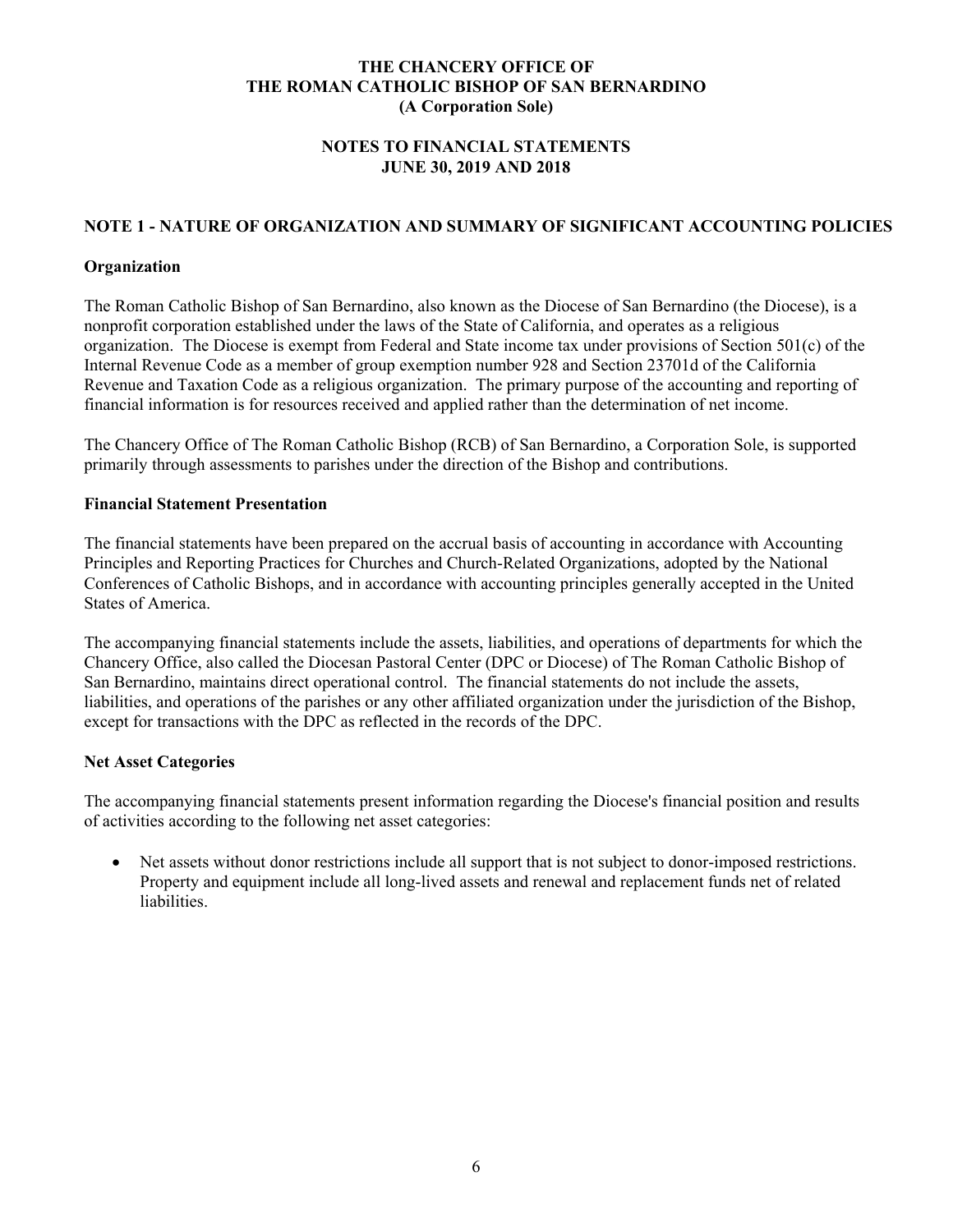# **NOTES TO FINANCIAL STATEMENTS JUNE 30, 2019 AND 2018**

# **NOTE 1 - NATURE OF ORGANIZATION AND SUMMARY OF SIGNIFICANT ACCOUNTING POLICIES**

#### **Organization**

The Roman Catholic Bishop of San Bernardino, also known as the Diocese of San Bernardino (the Diocese), is a nonprofit corporation established under the laws of the State of California, and operates as a religious organization. The Diocese is exempt from Federal and State income tax under provisions of Section 501(c) of the Internal Revenue Code as a member of group exemption number 928 and Section 23701d of the California Revenue and Taxation Code as a religious organization. The primary purpose of the accounting and reporting of financial information is for resources received and applied rather than the determination of net income.

The Chancery Office of The Roman Catholic Bishop (RCB) of San Bernardino, a Corporation Sole, is supported primarily through assessments to parishes under the direction of the Bishop and contributions.

#### **Financial Statement Presentation**

The financial statements have been prepared on the accrual basis of accounting in accordance with Accounting Principles and Reporting Practices for Churches and Church-Related Organizations, adopted by the National Conferences of Catholic Bishops, and in accordance with accounting principles generally accepted in the United States of America.

The accompanying financial statements include the assets, liabilities, and operations of departments for which the Chancery Office, also called the Diocesan Pastoral Center (DPC or Diocese) of The Roman Catholic Bishop of San Bernardino, maintains direct operational control. The financial statements do not include the assets, liabilities, and operations of the parishes or any other affiliated organization under the jurisdiction of the Bishop, except for transactions with the DPC as reflected in the records of the DPC.

### **Net Asset Categories**

The accompanying financial statements present information regarding the Diocese's financial position and results of activities according to the following net asset categories:

 Net assets without donor restrictions include all support that is not subject to donor-imposed restrictions. Property and equipment include all long-lived assets and renewal and replacement funds net of related liabilities.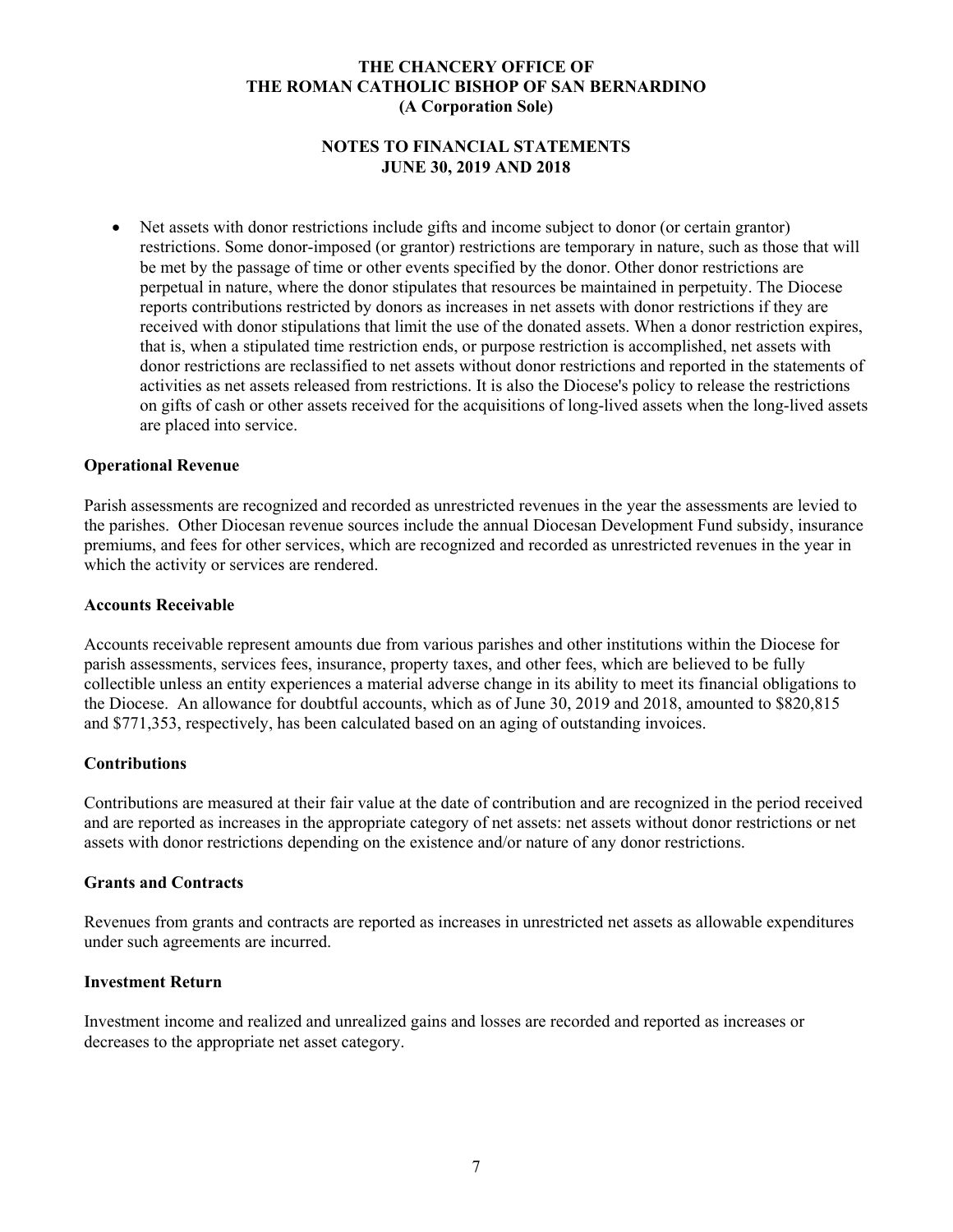## **NOTES TO FINANCIAL STATEMENTS JUNE 30, 2019 AND 2018**

 Net assets with donor restrictions include gifts and income subject to donor (or certain grantor) restrictions. Some donor-imposed (or grantor) restrictions are temporary in nature, such as those that will be met by the passage of time or other events specified by the donor. Other donor restrictions are perpetual in nature, where the donor stipulates that resources be maintained in perpetuity. The Diocese reports contributions restricted by donors as increases in net assets with donor restrictions if they are received with donor stipulations that limit the use of the donated assets. When a donor restriction expires, that is, when a stipulated time restriction ends, or purpose restriction is accomplished, net assets with donor restrictions are reclassified to net assets without donor restrictions and reported in the statements of activities as net assets released from restrictions. It is also the Diocese's policy to release the restrictions on gifts of cash or other assets received for the acquisitions of long-lived assets when the long-lived assets are placed into service.

#### **Operational Revenue**

Parish assessments are recognized and recorded as unrestricted revenues in the year the assessments are levied to the parishes. Other Diocesan revenue sources include the annual Diocesan Development Fund subsidy, insurance premiums, and fees for other services, which are recognized and recorded as unrestricted revenues in the year in which the activity or services are rendered.

#### **Accounts Receivable**

Accounts receivable represent amounts due from various parishes and other institutions within the Diocese for parish assessments, services fees, insurance, property taxes, and other fees, which are believed to be fully collectible unless an entity experiences a material adverse change in its ability to meet its financial obligations to the Diocese. An allowance for doubtful accounts, which as of June 30, 2019 and 2018, amounted to \$820,815 and \$771,353, respectively, has been calculated based on an aging of outstanding invoices.

### **Contributions**

Contributions are measured at their fair value at the date of contribution and are recognized in the period received and are reported as increases in the appropriate category of net assets: net assets without donor restrictions or net assets with donor restrictions depending on the existence and/or nature of any donor restrictions.

#### **Grants and Contracts**

Revenues from grants and contracts are reported as increases in unrestricted net assets as allowable expenditures under such agreements are incurred.

#### **Investment Return**

Investment income and realized and unrealized gains and losses are recorded and reported as increases or decreases to the appropriate net asset category.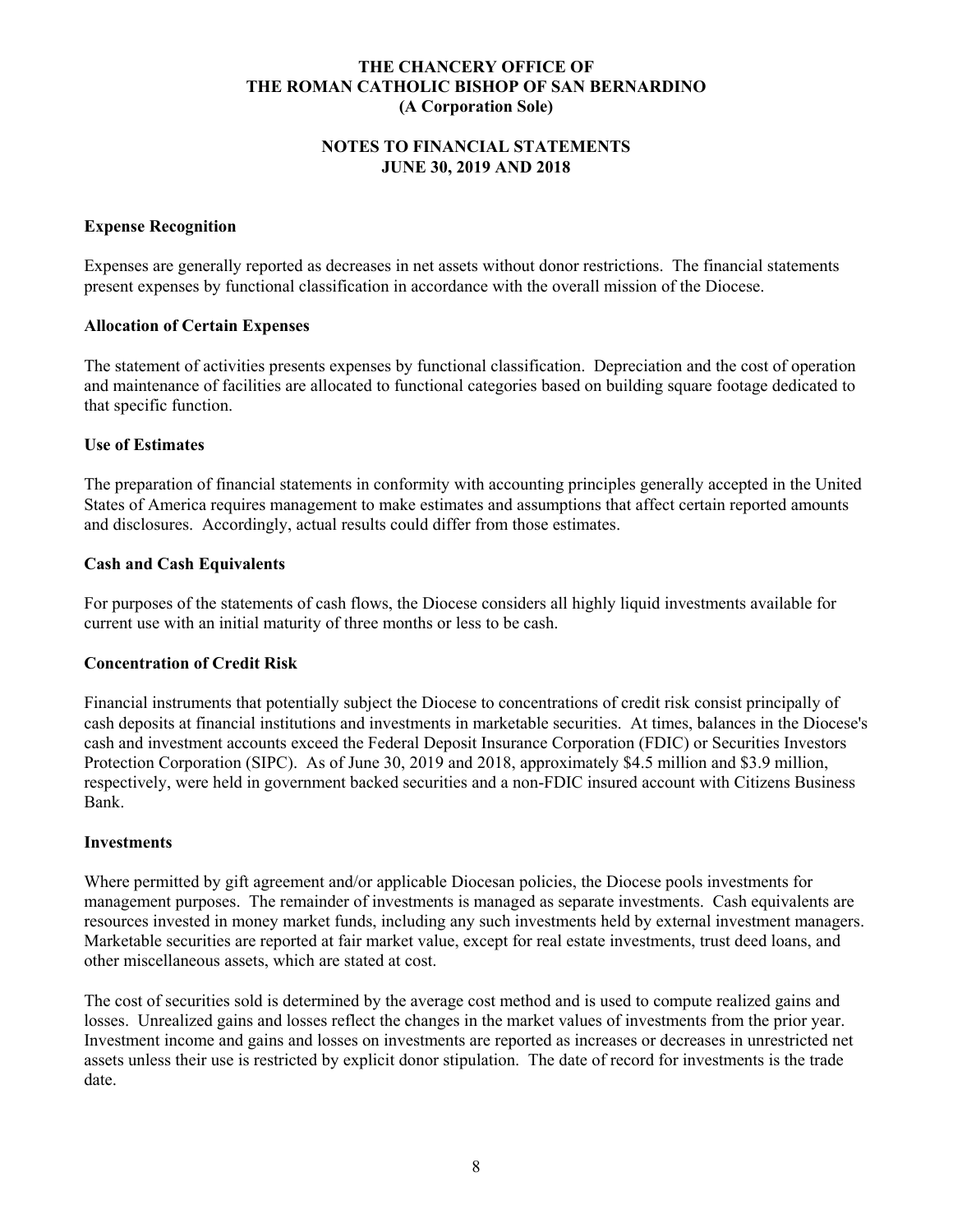## **NOTES TO FINANCIAL STATEMENTS JUNE 30, 2019 AND 2018**

### **Expense Recognition**

Expenses are generally reported as decreases in net assets without donor restrictions. The financial statements present expenses by functional classification in accordance with the overall mission of the Diocese.

# **Allocation of Certain Expenses**

The statement of activities presents expenses by functional classification. Depreciation and the cost of operation and maintenance of facilities are allocated to functional categories based on building square footage dedicated to that specific function.

# **Use of Estimates**

The preparation of financial statements in conformity with accounting principles generally accepted in the United States of America requires management to make estimates and assumptions that affect certain reported amounts and disclosures. Accordingly, actual results could differ from those estimates.

# **Cash and Cash Equivalents**

For purposes of the statements of cash flows, the Diocese considers all highly liquid investments available for current use with an initial maturity of three months or less to be cash.

### **Concentration of Credit Risk**

Financial instruments that potentially subject the Diocese to concentrations of credit risk consist principally of cash deposits at financial institutions and investments in marketable securities. At times, balances in the Diocese's cash and investment accounts exceed the Federal Deposit Insurance Corporation (FDIC) or Securities Investors Protection Corporation (SIPC). As of June 30, 2019 and 2018, approximately \$4.5 million and \$3.9 million, respectively, were held in government backed securities and a non-FDIC insured account with Citizens Business Bank.

### **Investments**

Where permitted by gift agreement and/or applicable Diocesan policies, the Diocese pools investments for management purposes. The remainder of investments is managed as separate investments. Cash equivalents are resources invested in money market funds, including any such investments held by external investment managers. Marketable securities are reported at fair market value, except for real estate investments, trust deed loans, and other miscellaneous assets, which are stated at cost.

The cost of securities sold is determined by the average cost method and is used to compute realized gains and losses. Unrealized gains and losses reflect the changes in the market values of investments from the prior year. Investment income and gains and losses on investments are reported as increases or decreases in unrestricted net assets unless their use is restricted by explicit donor stipulation. The date of record for investments is the trade date.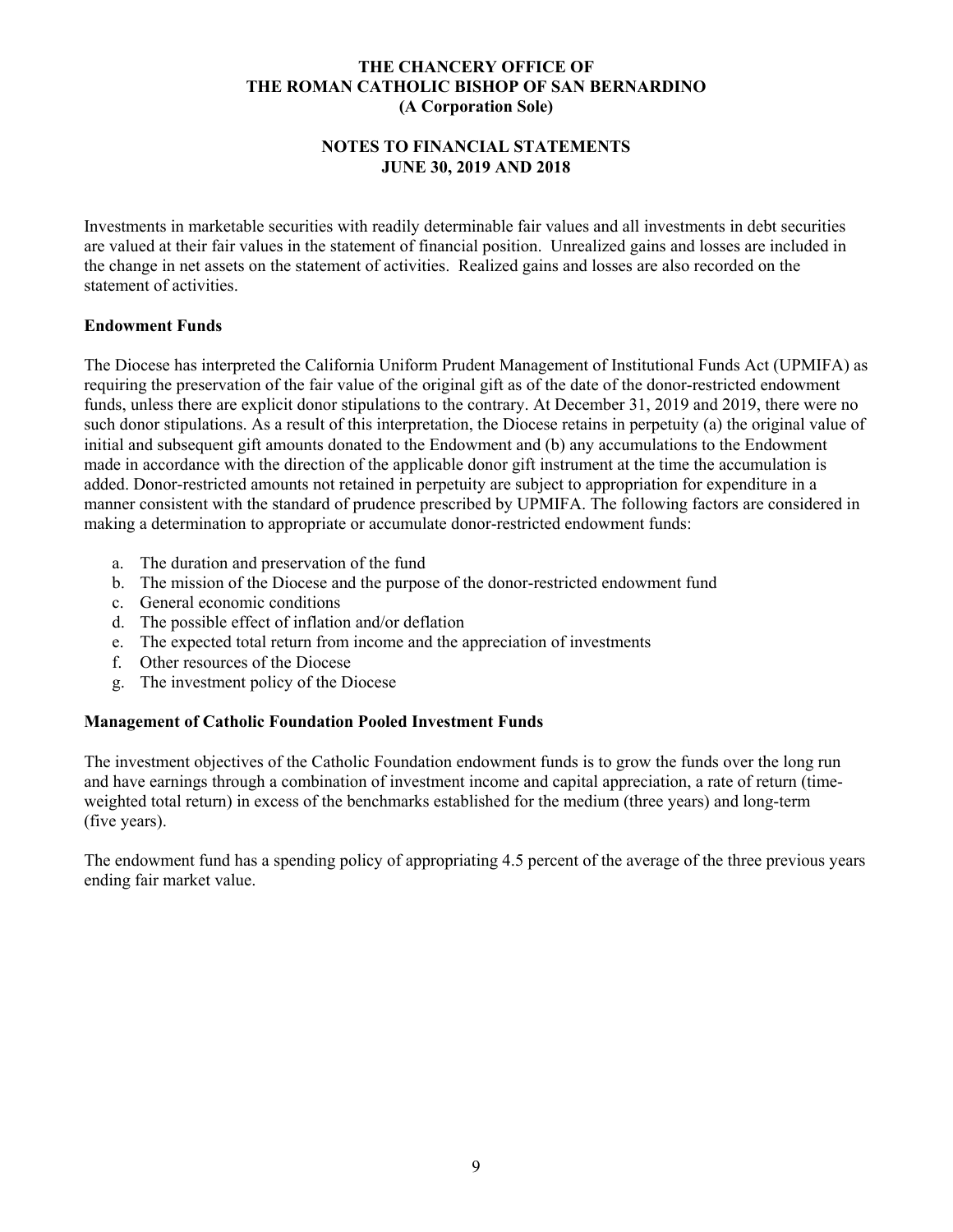# **NOTES TO FINANCIAL STATEMENTS JUNE 30, 2019 AND 2018**

Investments in marketable securities with readily determinable fair values and all investments in debt securities are valued at their fair values in the statement of financial position. Unrealized gains and losses are included in the change in net assets on the statement of activities. Realized gains and losses are also recorded on the statement of activities.

# **Endowment Funds**

The Diocese has interpreted the California Uniform Prudent Management of Institutional Funds Act (UPMIFA) as requiring the preservation of the fair value of the original gift as of the date of the donor-restricted endowment funds, unless there are explicit donor stipulations to the contrary. At December 31, 2019 and 2019, there were no such donor stipulations. As a result of this interpretation, the Diocese retains in perpetuity (a) the original value of initial and subsequent gift amounts donated to the Endowment and (b) any accumulations to the Endowment made in accordance with the direction of the applicable donor gift instrument at the time the accumulation is added. Donor-restricted amounts not retained in perpetuity are subject to appropriation for expenditure in a manner consistent with the standard of prudence prescribed by UPMIFA. The following factors are considered in making a determination to appropriate or accumulate donor-restricted endowment funds:

- a. The duration and preservation of the fund
- b. The mission of the Diocese and the purpose of the donor-restricted endowment fund
- c. General economic conditions
- d. The possible effect of inflation and/or deflation
- e. The expected total return from income and the appreciation of investments
- f. Other resources of the Diocese
- g. The investment policy of the Diocese

### **Management of Catholic Foundation Pooled Investment Funds**

The investment objectives of the Catholic Foundation endowment funds is to grow the funds over the long run and have earnings through a combination of investment income and capital appreciation, a rate of return (timeweighted total return) in excess of the benchmarks established for the medium (three years) and long-term (five years).

The endowment fund has a spending policy of appropriating 4.5 percent of the average of the three previous years ending fair market value.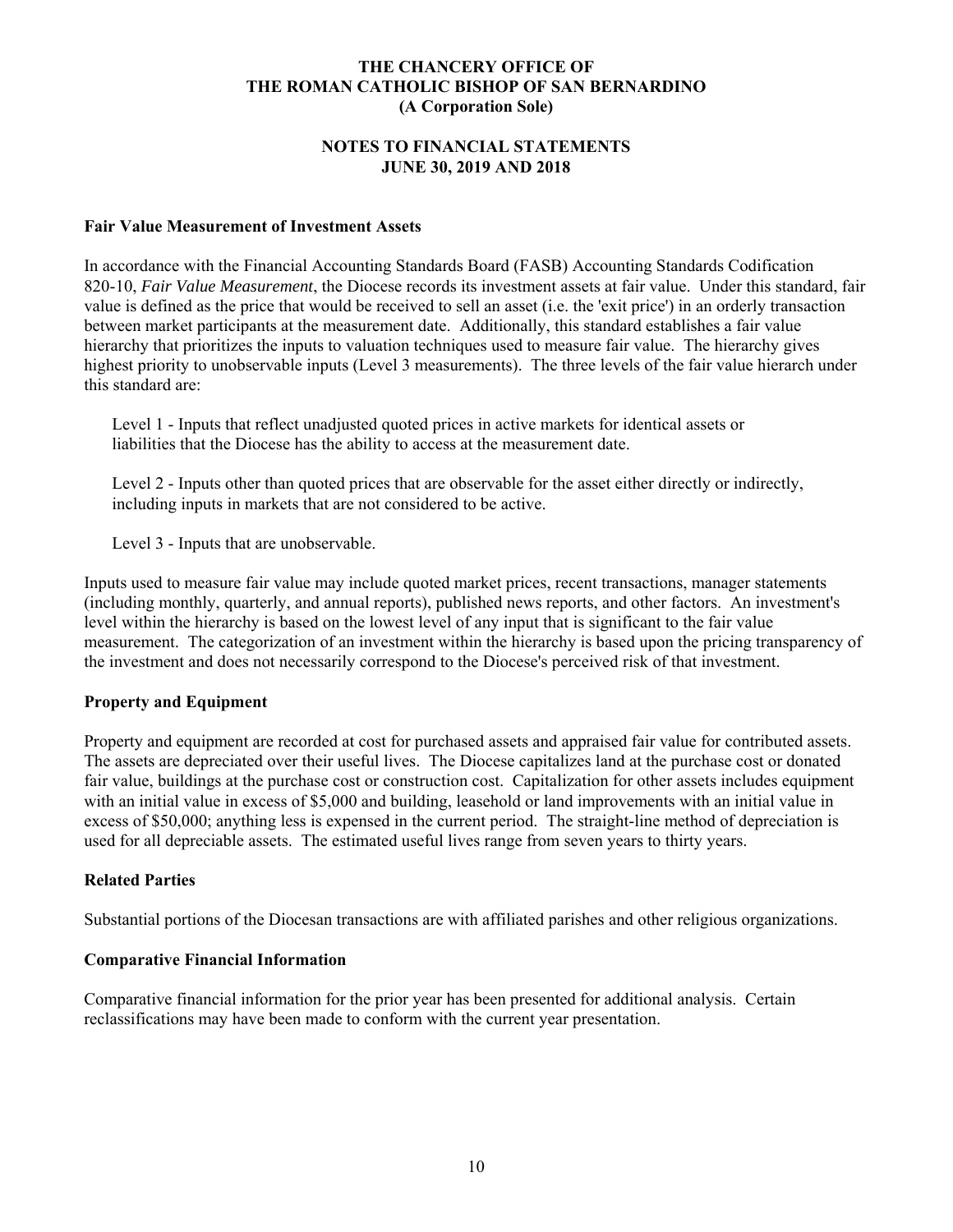### **NOTES TO FINANCIAL STATEMENTS JUNE 30, 2019 AND 2018**

### **Fair Value Measurement of Investment Assets**

In accordance with the Financial Accounting Standards Board (FASB) Accounting Standards Codification 820-10, *Fair Value Measurement*, the Diocese records its investment assets at fair value. Under this standard, fair value is defined as the price that would be received to sell an asset (i.e. the 'exit price') in an orderly transaction between market participants at the measurement date. Additionally, this standard establishes a fair value hierarchy that prioritizes the inputs to valuation techniques used to measure fair value. The hierarchy gives highest priority to unobservable inputs (Level 3 measurements). The three levels of the fair value hierarch under this standard are:

Level 1 - Inputs that reflect unadjusted quoted prices in active markets for identical assets or liabilities that the Diocese has the ability to access at the measurement date.

Level 2 - Inputs other than quoted prices that are observable for the asset either directly or indirectly, including inputs in markets that are not considered to be active.

Level 3 - Inputs that are unobservable.

Inputs used to measure fair value may include quoted market prices, recent transactions, manager statements (including monthly, quarterly, and annual reports), published news reports, and other factors. An investment's level within the hierarchy is based on the lowest level of any input that is significant to the fair value measurement. The categorization of an investment within the hierarchy is based upon the pricing transparency of the investment and does not necessarily correspond to the Diocese's perceived risk of that investment.

# **Property and Equipment**

Property and equipment are recorded at cost for purchased assets and appraised fair value for contributed assets. The assets are depreciated over their useful lives. The Diocese capitalizes land at the purchase cost or donated fair value, buildings at the purchase cost or construction cost. Capitalization for other assets includes equipment with an initial value in excess of \$5,000 and building, leasehold or land improvements with an initial value in excess of \$50,000; anything less is expensed in the current period. The straight-line method of depreciation is used for all depreciable assets. The estimated useful lives range from seven years to thirty years.

# **Related Parties**

Substantial portions of the Diocesan transactions are with affiliated parishes and other religious organizations.

### **Comparative Financial Information**

Comparative financial information for the prior year has been presented for additional analysis. Certain reclassifications may have been made to conform with the current year presentation.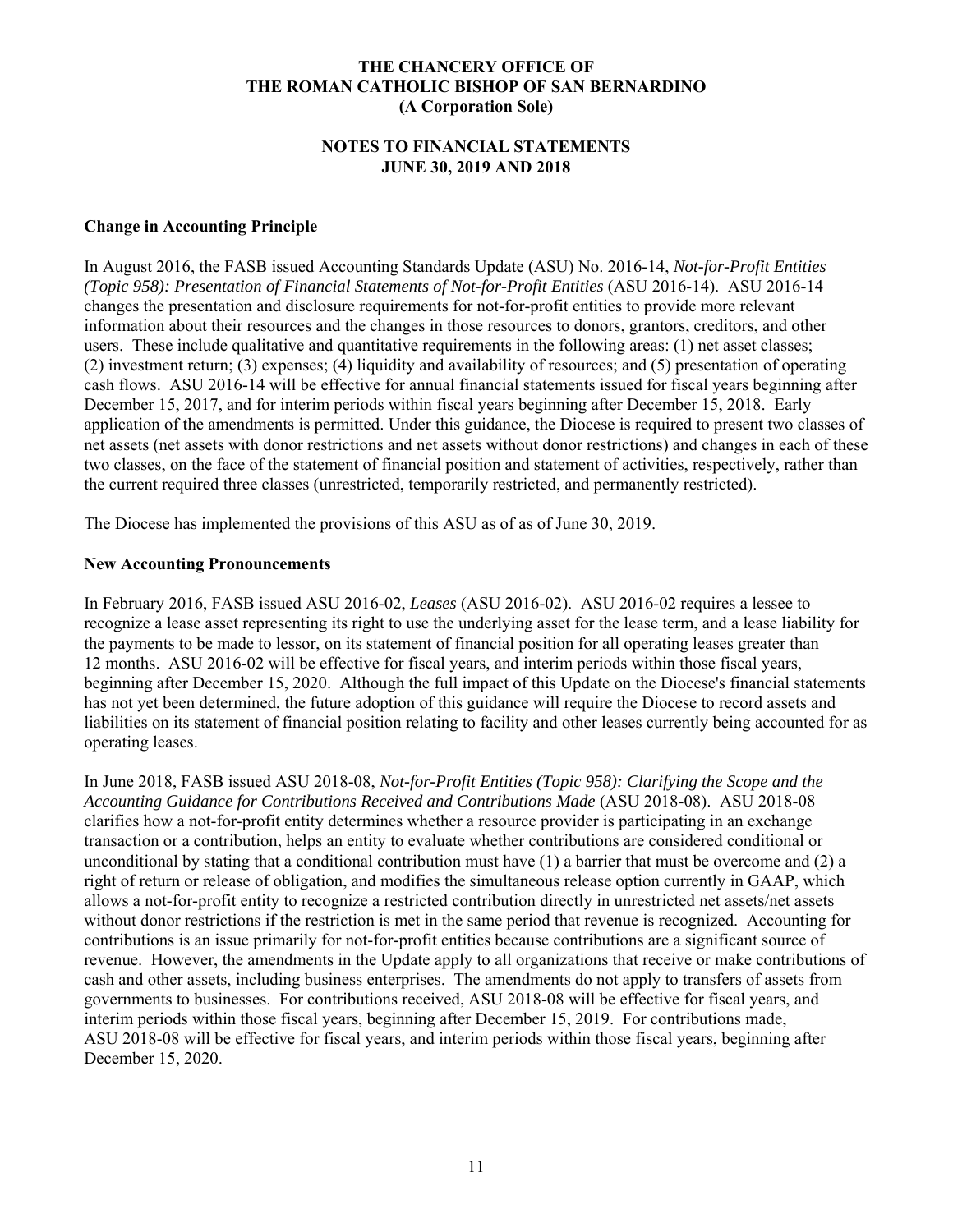#### **NOTES TO FINANCIAL STATEMENTS JUNE 30, 2019 AND 2018**

## **Change in Accounting Principle**

In August 2016, the FASB issued Accounting Standards Update (ASU) No. 2016-14, *Not-for-Profit Entities (Topic 958): Presentation of Financial Statements of Not-for-Profit Entities* (ASU 2016-14). ASU 2016-14 changes the presentation and disclosure requirements for not-for-profit entities to provide more relevant information about their resources and the changes in those resources to donors, grantors, creditors, and other users. These include qualitative and quantitative requirements in the following areas: (1) net asset classes; (2) investment return; (3) expenses; (4) liquidity and availability of resources; and (5) presentation of operating cash flows. ASU 2016-14 will be effective for annual financial statements issued for fiscal years beginning after December 15, 2017, and for interim periods within fiscal years beginning after December 15, 2018. Early application of the amendments is permitted. Under this guidance, the Diocese is required to present two classes of net assets (net assets with donor restrictions and net assets without donor restrictions) and changes in each of these two classes, on the face of the statement of financial position and statement of activities, respectively, rather than the current required three classes (unrestricted, temporarily restricted, and permanently restricted).

The Diocese has implemented the provisions of this ASU as of as of June 30, 2019.

#### **New Accounting Pronouncements**

In February 2016, FASB issued ASU 2016-02, *Leases* (ASU 2016-02). ASU 2016-02 requires a lessee to recognize a lease asset representing its right to use the underlying asset for the lease term, and a lease liability for the payments to be made to lessor, on its statement of financial position for all operating leases greater than 12 months. ASU 2016-02 will be effective for fiscal years, and interim periods within those fiscal years, beginning after December 15, 2020. Although the full impact of this Update on the Diocese's financial statements has not yet been determined, the future adoption of this guidance will require the Diocese to record assets and liabilities on its statement of financial position relating to facility and other leases currently being accounted for as operating leases.

In June 2018, FASB issued ASU 2018-08, *Not-for-Profit Entities (Topic 958): Clarifying the Scope and the Accounting Guidance for Contributions Received and Contributions Made* (ASU 2018-08). ASU 2018-08 clarifies how a not-for-profit entity determines whether a resource provider is participating in an exchange transaction or a contribution, helps an entity to evaluate whether contributions are considered conditional or unconditional by stating that a conditional contribution must have (1) a barrier that must be overcome and (2) a right of return or release of obligation, and modifies the simultaneous release option currently in GAAP, which allows a not-for-profit entity to recognize a restricted contribution directly in unrestricted net assets/net assets without donor restrictions if the restriction is met in the same period that revenue is recognized. Accounting for contributions is an issue primarily for not-for-profit entities because contributions are a significant source of revenue. However, the amendments in the Update apply to all organizations that receive or make contributions of cash and other assets, including business enterprises. The amendments do not apply to transfers of assets from governments to businesses. For contributions received, ASU 2018-08 will be effective for fiscal years, and interim periods within those fiscal years, beginning after December 15, 2019. For contributions made, ASU 2018-08 will be effective for fiscal years, and interim periods within those fiscal years, beginning after December 15, 2020.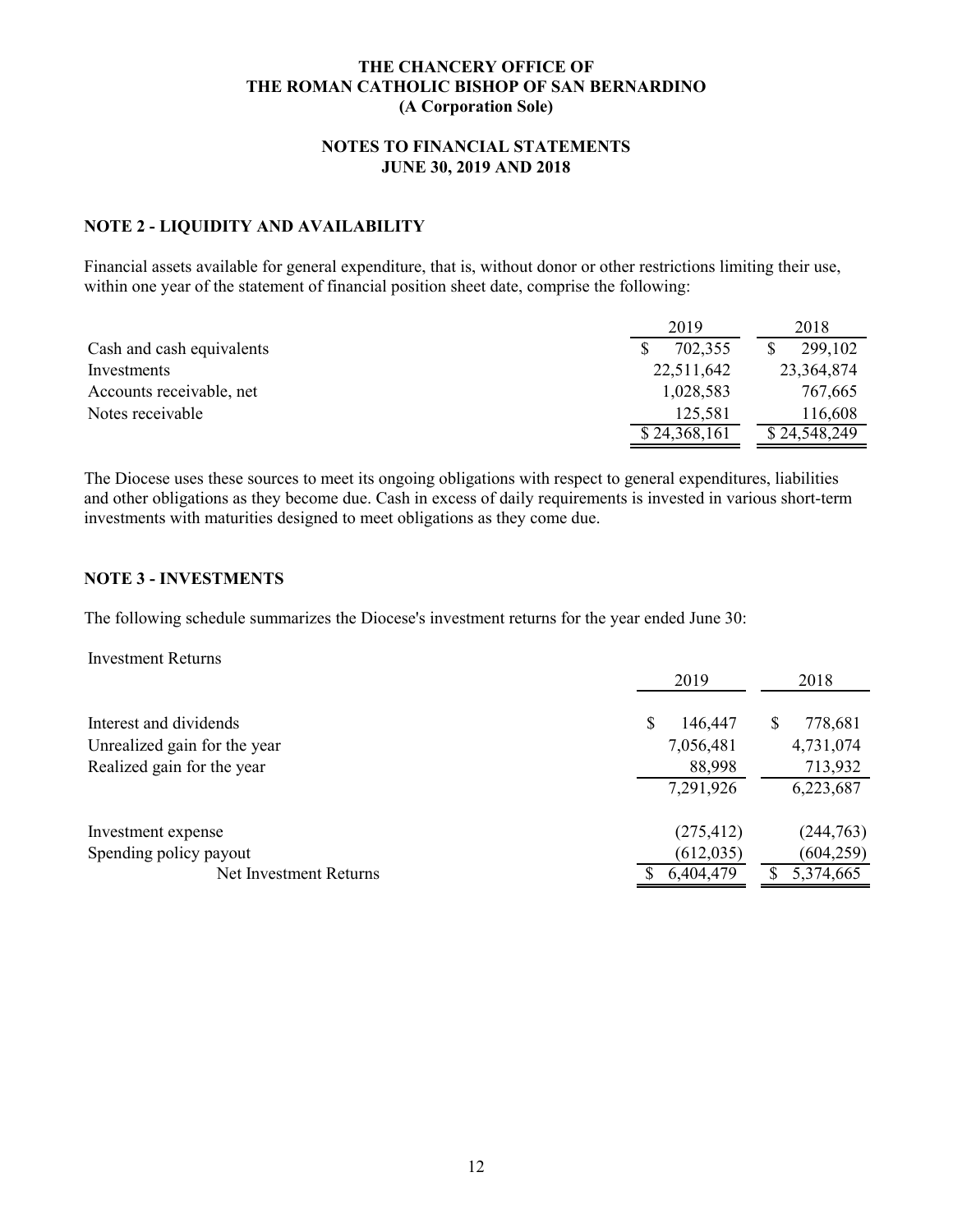## **NOTES TO FINANCIAL STATEMENTS JUNE 30, 2019 AND 2018**

# **NOTE 2 - LIQUIDITY AND AVAILABILITY**

Financial assets available for general expenditure, that is, without donor or other restrictions limiting their use, within one year of the statement of financial position sheet date, comprise the following:

|                           | 2019         | 2018         |
|---------------------------|--------------|--------------|
| Cash and cash equivalents | 702,355      | 299,102      |
| Investments               | 22,511,642   | 23,364,874   |
| Accounts receivable, net  | 1,028,583    | 767,665      |
| Notes receivable          | 125,581      | 116,608      |
|                           | \$24,368,161 | \$24,548,249 |

The Diocese uses these sources to meet its ongoing obligations with respect to general expenditures, liabilities and other obligations as they become due. Cash in excess of daily requirements is invested in various short-term investments with maturities designed to meet obligations as they come due.

### **NOTE 3 - INVESTMENTS**

The following schedule summarizes the Diocese's investment returns for the year ended June 30:

Investment Returns

|                              | 2019         | 2018         |
|------------------------------|--------------|--------------|
| Interest and dividends       | S<br>146,447 | 778,681<br>S |
| Unrealized gain for the year | 7,056,481    | 4,731,074    |
| Realized gain for the year   | 88,998       | 713,932      |
|                              | 7,291,926    | 6,223,687    |
| Investment expense           | (275, 412)   | (244, 763)   |
| Spending policy payout       | (612, 035)   | (604, 259)   |
| Net Investment Returns       | 6,404,479    | 5,374,665    |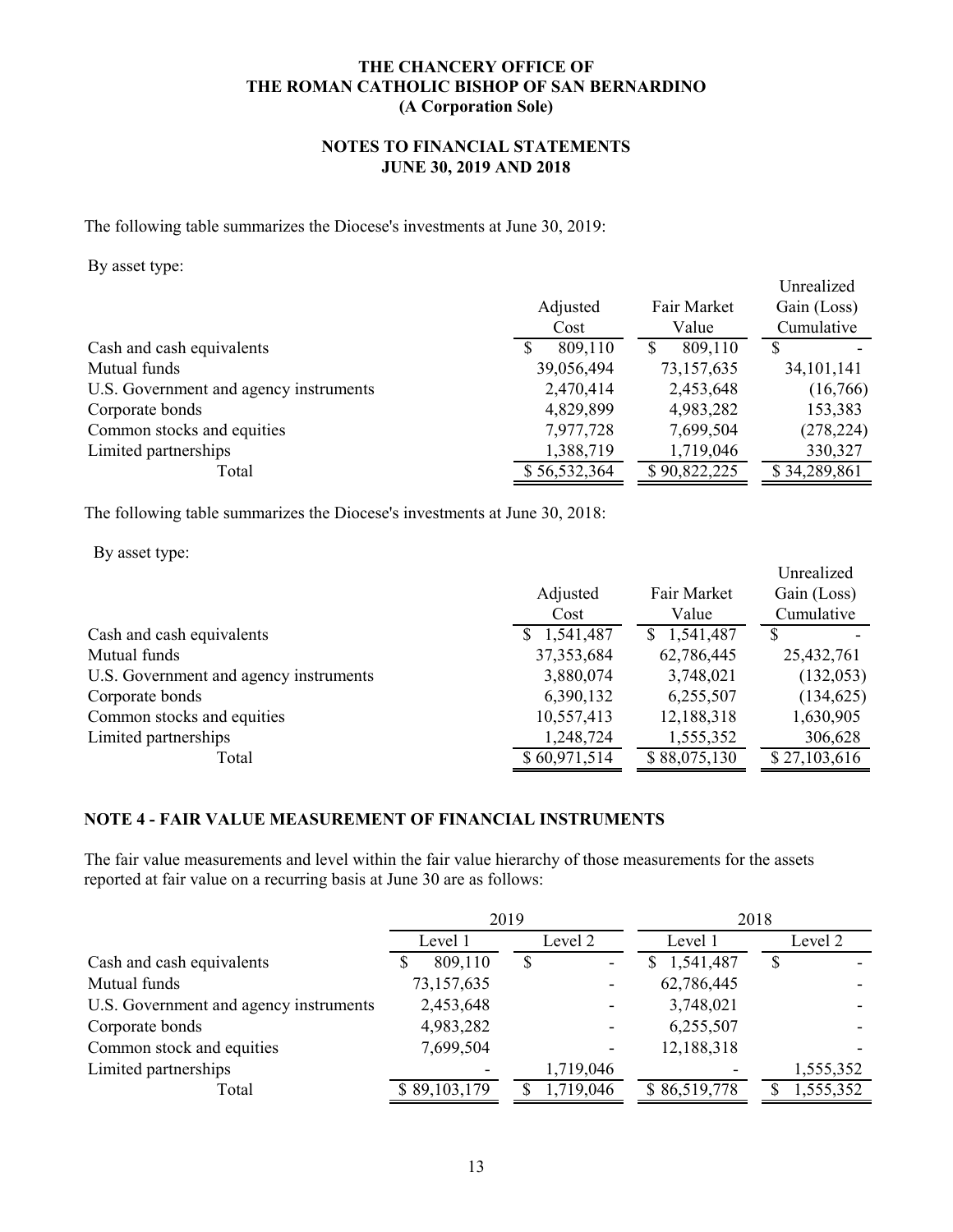# **NOTES TO FINANCIAL STATEMENTS JUNE 30, 2019 AND 2018**

The following table summarizes the Diocese's investments at June 30, 2019:

By asset type:

| $\overline{ }$<br>┙╹                   | Adjusted<br>Cost | Fair Market<br>Value | Unrealized<br>Gain (Loss)<br>Cumulative |
|----------------------------------------|------------------|----------------------|-----------------------------------------|
| Cash and cash equivalents              | 809,110<br>S     | 809,110              | S                                       |
| Mutual funds                           | 39,056,494       | 73,157,635           | 34, 101, 141                            |
| U.S. Government and agency instruments | 2,470,414        | 2,453,648            | (16,766)                                |
| Corporate bonds                        | 4,829,899        | 4,983,282            | 153,383                                 |
| Common stocks and equities             | 7,977,728        | 7,699,504            | (278, 224)                              |
| Limited partnerships                   | 1,388,719        | 1,719,046            | 330,327                                 |
| Total                                  | \$56,532,364     | \$90,822,225         | \$34,289,861                            |

The following table summarizes the Diocese's investments at June 30, 2018:

By asset type:

|                                        |              |              | Unrealized   |
|----------------------------------------|--------------|--------------|--------------|
|                                        | Adjusted     | Fair Market  | Gain (Loss)  |
|                                        | Cost         | Value        | Cumulative   |
| Cash and cash equivalents              | \$1,541,487  | \$1,541,487  |              |
| Mutual funds                           | 37, 353, 684 | 62,786,445   | 25,432,761   |
| U.S. Government and agency instruments | 3,880,074    | 3,748,021    | (132, 053)   |
| Corporate bonds                        | 6,390,132    | 6,255,507    | (134, 625)   |
| Common stocks and equities             | 10,557,413   | 12,188,318   | 1,630,905    |
| Limited partnerships                   | 1,248,724    | 1,555,352    | 306,628      |
| Total                                  | \$60,971,514 | \$88,075,130 | \$27,103,616 |

# **NOTE 4 - FAIR VALUE MEASUREMENT OF FINANCIAL INSTRUMENTS**

The fair value measurements and level within the fair value hierarchy of those measurements for the assets reported at fair value on a recurring basis at June 30 are as follows:

|                                        |              | 2019      | 2018           |           |  |
|----------------------------------------|--------------|-----------|----------------|-----------|--|
|                                        | Level 1      | Level 2   | Level 1        | Level 2   |  |
| Cash and cash equivalents              | 809,110<br>S | \$        | 1,541,487<br>S | \$        |  |
| Mutual funds                           | 73,157,635   |           | 62,786,445     |           |  |
| U.S. Government and agency instruments | 2,453,648    |           | 3,748,021      |           |  |
| Corporate bonds                        | 4,983,282    |           | 6,255,507      |           |  |
| Common stock and equities              | 7,699,504    |           | 12,188,318     |           |  |
| Limited partnerships                   |              | 1,719,046 |                | 1,555,352 |  |
| Total                                  | \$89,103,179 | 1,719,046 | \$86,519,778   | 1,555,352 |  |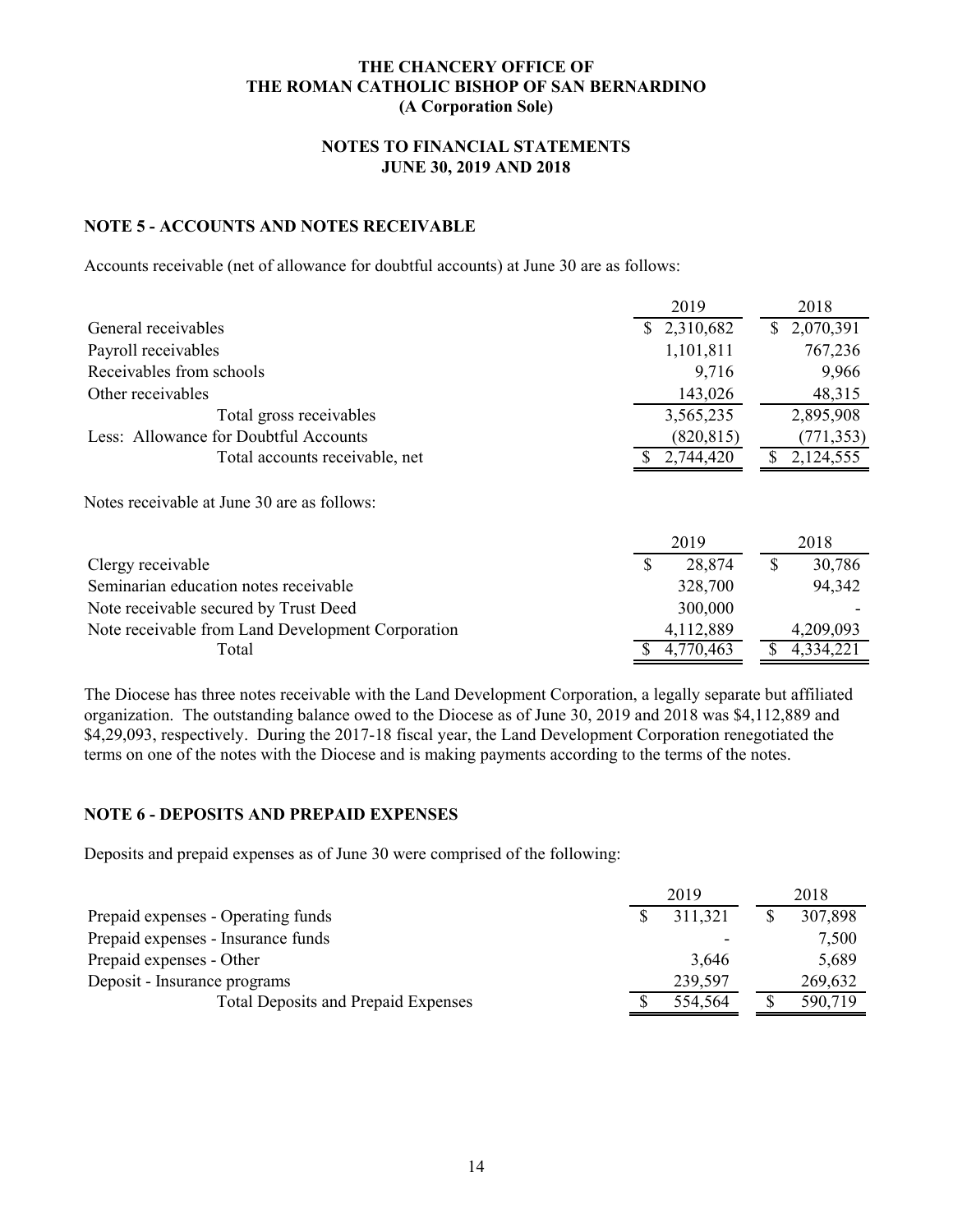# **NOTES TO FINANCIAL STATEMENTS JUNE 30, 2019 AND 2018**

# **NOTE 5 - ACCOUNTS AND NOTES RECEIVABLE**

Accounts receivable (net of allowance for doubtful accounts) at June 30 are as follows:

|                                                   | 2019        | 2018            |
|---------------------------------------------------|-------------|-----------------|
| General receivables                               | \$2,310,682 | 2,070,391<br>S. |
| Payroll receivables                               | 1,101,811   | 767,236         |
| Receivables from schools                          | 9,716       | 9,966           |
| Other receivables                                 | 143,026     | 48,315          |
| Total gross receivables                           | 3,565,235   | 2,895,908       |
| Less: Allowance for Doubtful Accounts             | (820, 815)  | (771, 353)      |
| Total accounts receivable, net                    | 2,744,420   | S<br>2,124,555  |
| Notes receivable at June 30 are as follows:       | 2019        | 2018            |
| Clergy receivable                                 | S<br>28,874 | 30,786<br>S     |
| Seminarian education notes receivable             | 328,700     | 94,342          |
| Note receivable secured by Trust Deed             | 300,000     |                 |
| Note receivable from Land Development Corporation | 4,112,889   | 4,209,093       |
| Total                                             | 4,770,463   | \$<br>4,334,221 |

The Diocese has three notes receivable with the Land Development Corporation, a legally separate but affiliated organization. The outstanding balance owed to the Diocese as of June 30, 2019 and 2018 was \$4,112,889 and \$4,29,093, respectively. During the 2017-18 fiscal year, the Land Development Corporation renegotiated the terms on one of the notes with the Diocese and is making payments according to the terms of the notes.

# **NOTE 6 - DEPOSITS AND PREPAID EXPENSES**

Deposits and prepaid expenses as of June 30 were comprised of the following:

|                                            | 2019 |         | 2018 |         |
|--------------------------------------------|------|---------|------|---------|
| Prepaid expenses - Operating funds         |      | 311,321 |      | 307,898 |
| Prepaid expenses - Insurance funds         |      |         |      | 7,500   |
| Prepaid expenses - Other                   |      | 3.646   |      | 5,689   |
| Deposit - Insurance programs               |      | 239,597 |      | 269,632 |
| <b>Total Deposits and Prepaid Expenses</b> |      | 554,564 |      | 590,719 |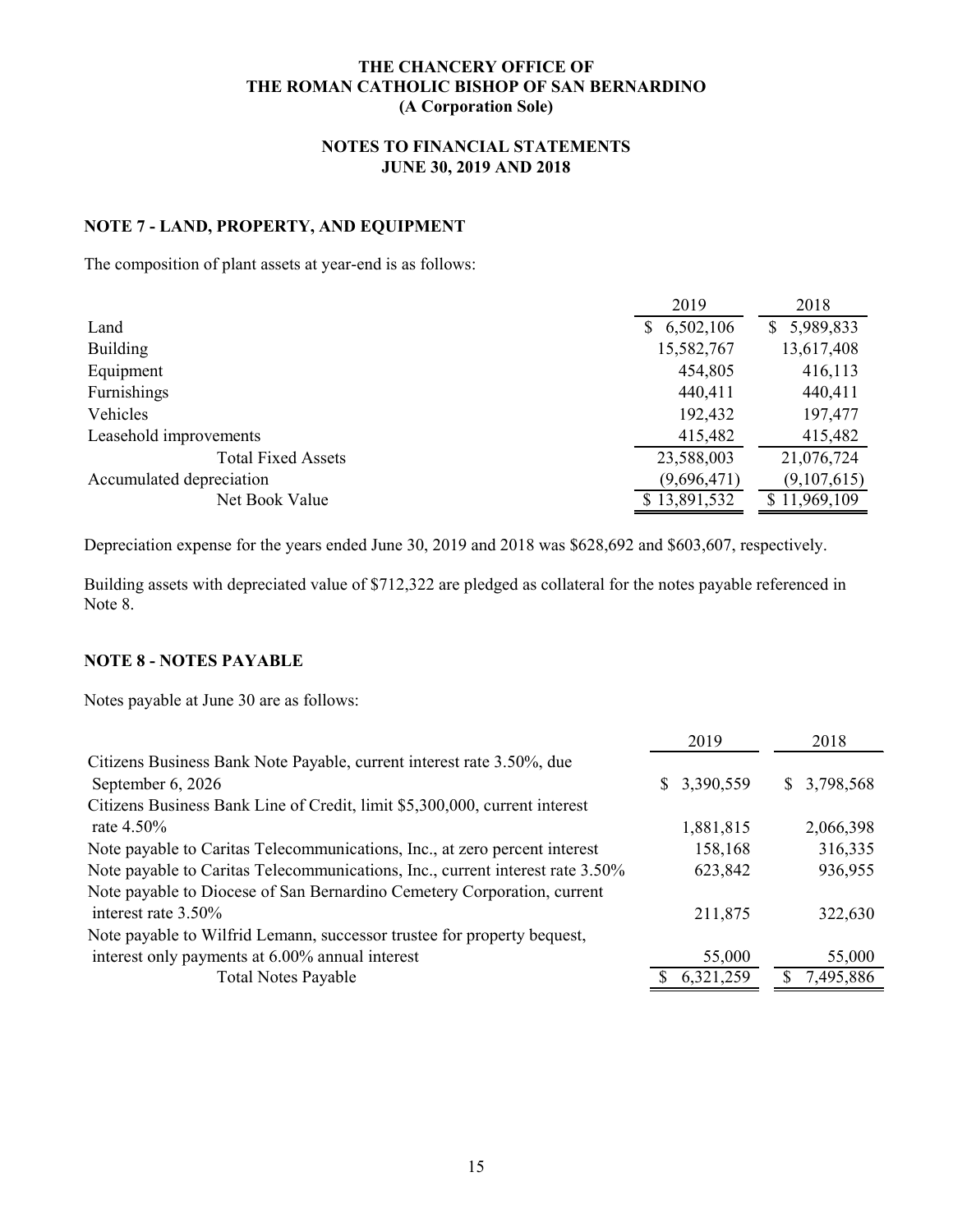# **NOTES TO FINANCIAL STATEMENTS JUNE 30, 2019 AND 2018**

# **NOTE 7 - LAND, PROPERTY, AND EQUIPMENT**

The composition of plant assets at year-end is as follows:

|                           | 2019         | 2018           |
|---------------------------|--------------|----------------|
| Land                      | \$6,502,106  | 5,989,833<br>S |
| <b>Building</b>           | 15,582,767   | 13,617,408     |
| Equipment                 | 454,805      | 416,113        |
| Furnishings               | 440,411      | 440,411        |
| Vehicles                  | 192,432      | 197,477        |
| Leasehold improvements    | 415,482      | 415,482        |
| <b>Total Fixed Assets</b> | 23,588,003   | 21,076,724     |
| Accumulated depreciation  | (9,696,471)  | (9,107,615)    |
| Net Book Value            | \$13,891,532 | \$11,969,109   |

Depreciation expense for the years ended June 30, 2019 and 2018 was \$628,692 and \$603,607, respectively.

Building assets with depreciated value of \$712,322 are pledged as collateral for the notes payable referenced in Note 8.

# **NOTE 8 - NOTES PAYABLE**

Notes payable at June 30 are as follows:

|                                                                               | 2019         | 2018        |
|-------------------------------------------------------------------------------|--------------|-------------|
| Citizens Business Bank Note Payable, current interest rate 3.50%, due         |              |             |
| September 6, 2026                                                             | \$ 3,390,559 | \$3,798,568 |
| Citizens Business Bank Line of Credit, limit \$5,300,000, current interest    |              |             |
| rate $4.50\%$                                                                 | 1,881,815    | 2,066,398   |
| Note payable to Caritas Telecommunications, Inc., at zero percent interest    | 158,168      | 316,335     |
| Note payable to Caritas Telecommunications, Inc., current interest rate 3.50% | 623,842      | 936,955     |
| Note payable to Diocese of San Bernardino Cemetery Corporation, current       |              |             |
| interest rate 3.50%                                                           | 211,875      | 322,630     |
| Note payable to Wilfrid Lemann, successor trustee for property bequest,       |              |             |
| interest only payments at 6.00% annual interest                               | 55,000       | 55,000      |
| <b>Total Notes Payable</b>                                                    | 6,321,259    | 7,495,886   |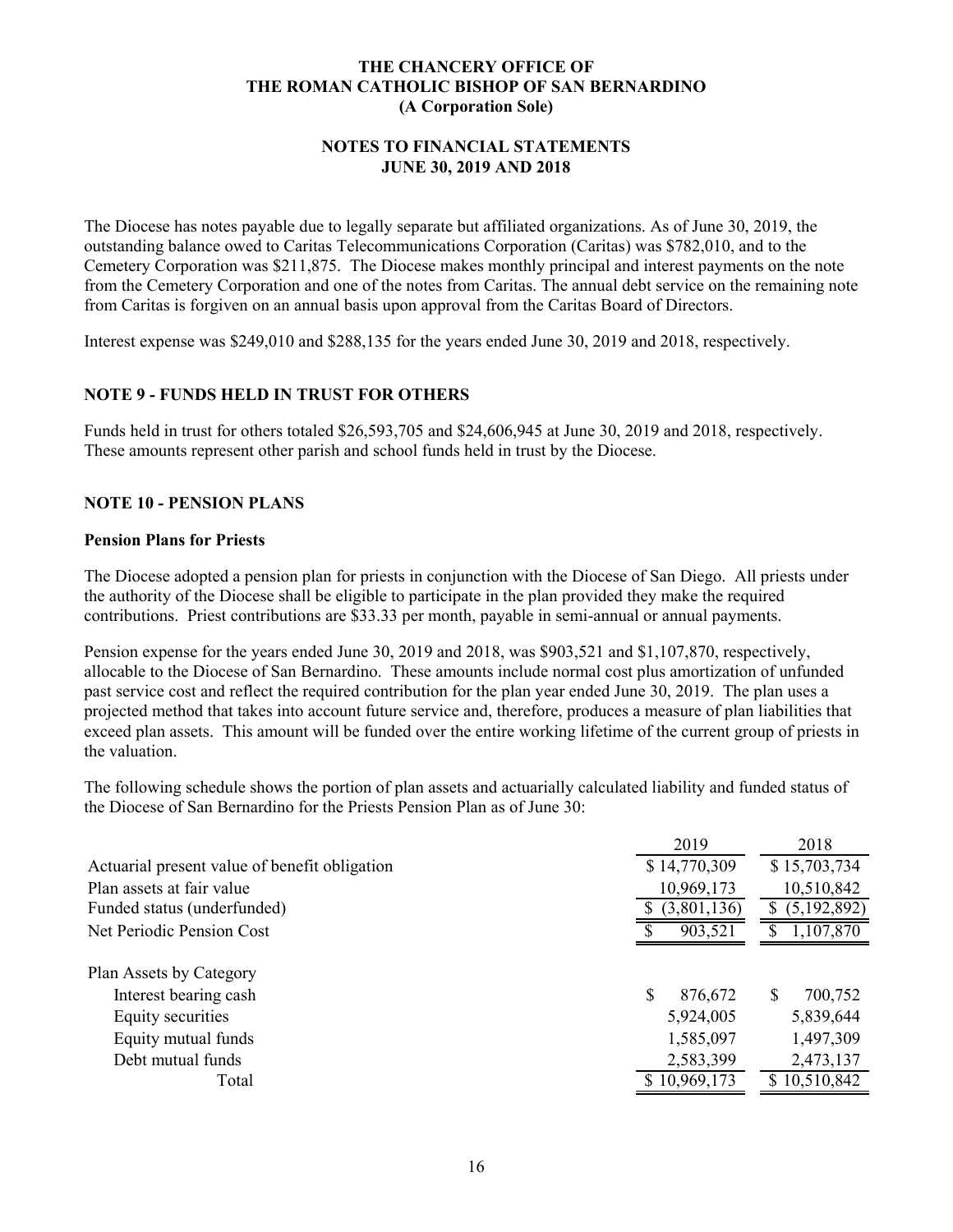### **NOTES TO FINANCIAL STATEMENTS JUNE 30, 2019 AND 2018**

The Diocese has notes payable due to legally separate but affiliated organizations. As of June 30, 2019, the outstanding balance owed to Caritas Telecommunications Corporation (Caritas) was \$782,010, and to the Cemetery Corporation was \$211,875. The Diocese makes monthly principal and interest payments on the note from the Cemetery Corporation and one of the notes from Caritas. The annual debt service on the remaining note from Caritas is forgiven on an annual basis upon approval from the Caritas Board of Directors.

Interest expense was \$249,010 and \$288,135 for the years ended June 30, 2019 and 2018, respectively.

# **NOTE 9 - FUNDS HELD IN TRUST FOR OTHERS**

Funds held in trust for others totaled \$26,593,705 and \$24,606,945 at June 30, 2019 and 2018, respectively. These amounts represent other parish and school funds held in trust by the Diocese.

### **NOTE 10 - PENSION PLANS**

#### **Pension Plans for Priests**

The Diocese adopted a pension plan for priests in conjunction with the Diocese of San Diego. All priests under the authority of the Diocese shall be eligible to participate in the plan provided they make the required contributions. Priest contributions are \$33.33 per month, payable in semi-annual or annual payments.

Pension expense for the years ended June 30, 2019 and 2018, was \$903,521 and \$1,107,870, respectively, allocable to the Diocese of San Bernardino. These amounts include normal cost plus amortization of unfunded past service cost and reflect the required contribution for the plan year ended June 30, 2019. The plan uses a projected method that takes into account future service and, therefore, produces a measure of plan liabilities that exceed plan assets. This amount will be funded over the entire working lifetime of the current group of priests in the valuation.

The following schedule shows the portion of plan assets and actuarially calculated liability and funded status of the Diocese of San Bernardino for the Priests Pension Plan as of June 30:

|                                               | 2019                   | 2018                   |
|-----------------------------------------------|------------------------|------------------------|
| Actuarial present value of benefit obligation | \$14,770,309           | \$15,703,734           |
| Plan assets at fair value                     | 10,969,173             | 10,510,842             |
| Funded status (underfunded)                   | (3,801,136)            | (5,192,892)            |
| Net Periodic Pension Cost                     | 903,521                | 1,107,870              |
| Plan Assets by Category                       | \$                     | S                      |
| Interest bearing cash<br>Equity securities    | 876,672<br>5,924,005   | 700,752<br>5,839,644   |
| Equity mutual funds<br>Debt mutual funds      | 1,585,097<br>2,583,399 | 1,497,309<br>2,473,137 |
| Total                                         | \$10,969,173           | 10,510,842<br>S.       |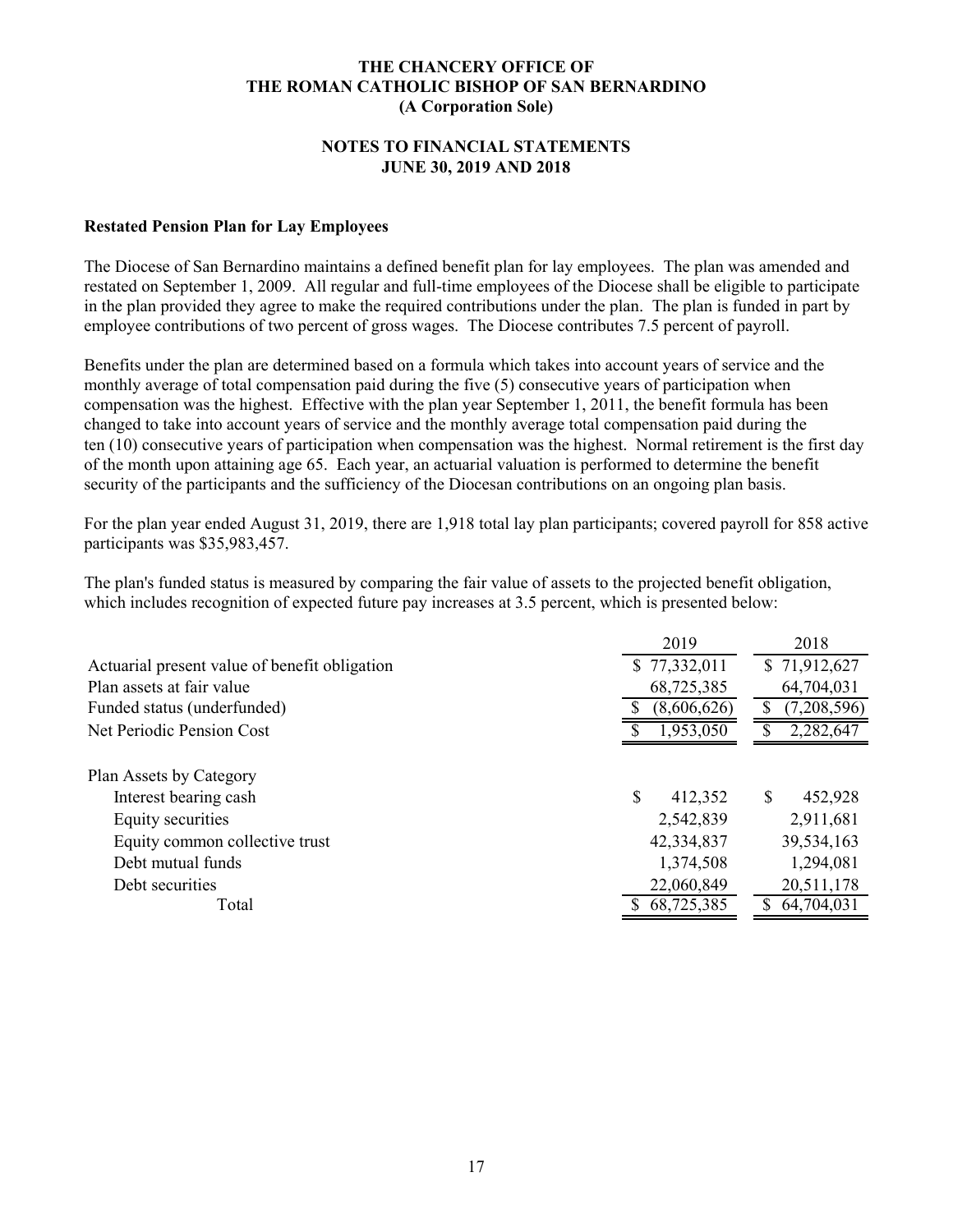### **NOTES TO FINANCIAL STATEMENTS JUNE 30, 2019 AND 2018**

### **Restated Pension Plan for Lay Employees**

The Diocese of San Bernardino maintains a defined benefit plan for lay employees. The plan was amended and restated on September 1, 2009. All regular and full-time employees of the Diocese shall be eligible to participate in the plan provided they agree to make the required contributions under the plan. The plan is funded in part by employee contributions of two percent of gross wages. The Diocese contributes 7.5 percent of payroll.

Benefits under the plan are determined based on a formula which takes into account years of service and the monthly average of total compensation paid during the five (5) consecutive years of participation when compensation was the highest. Effective with the plan year September 1, 2011, the benefit formula has been changed to take into account years of service and the monthly average total compensation paid during the ten (10) consecutive years of participation when compensation was the highest. Normal retirement is the first day of the month upon attaining age 65. Each year, an actuarial valuation is performed to determine the benefit security of the participants and the sufficiency of the Diocesan contributions on an ongoing plan basis.

For the plan year ended August 31, 2019, there are 1,918 total lay plan participants; covered payroll for 858 active participants was \$35,983,457.

The plan's funded status is measured by comparing the fair value of assets to the projected benefit obligation, which includes recognition of expected future pay increases at 3.5 percent, which is presented below:

|                                               | 2019          | 2018         |
|-----------------------------------------------|---------------|--------------|
| Actuarial present value of benefit obligation | \$77,332,011  | \$71,912,627 |
| Plan assets at fair value                     | 68,725,385    | 64,704,031   |
| Funded status (underfunded)                   | (8,606,626)   | (7,208,596)  |
| Net Periodic Pension Cost                     | 1,953,050     | 2,282,647    |
|                                               |               |              |
| Plan Assets by Category                       |               |              |
| Interest bearing cash                         | \$<br>412,352 | 452,928      |
| Equity securities                             | 2,542,839     | 2,911,681    |
| Equity common collective trust                | 42,334,837    | 39,534,163   |
| Debt mutual funds                             | 1,374,508     | 1,294,081    |
| Debt securities                               | 22,060,849    | 20,511,178   |
| Total                                         | 68,725,385    | 64,704,031   |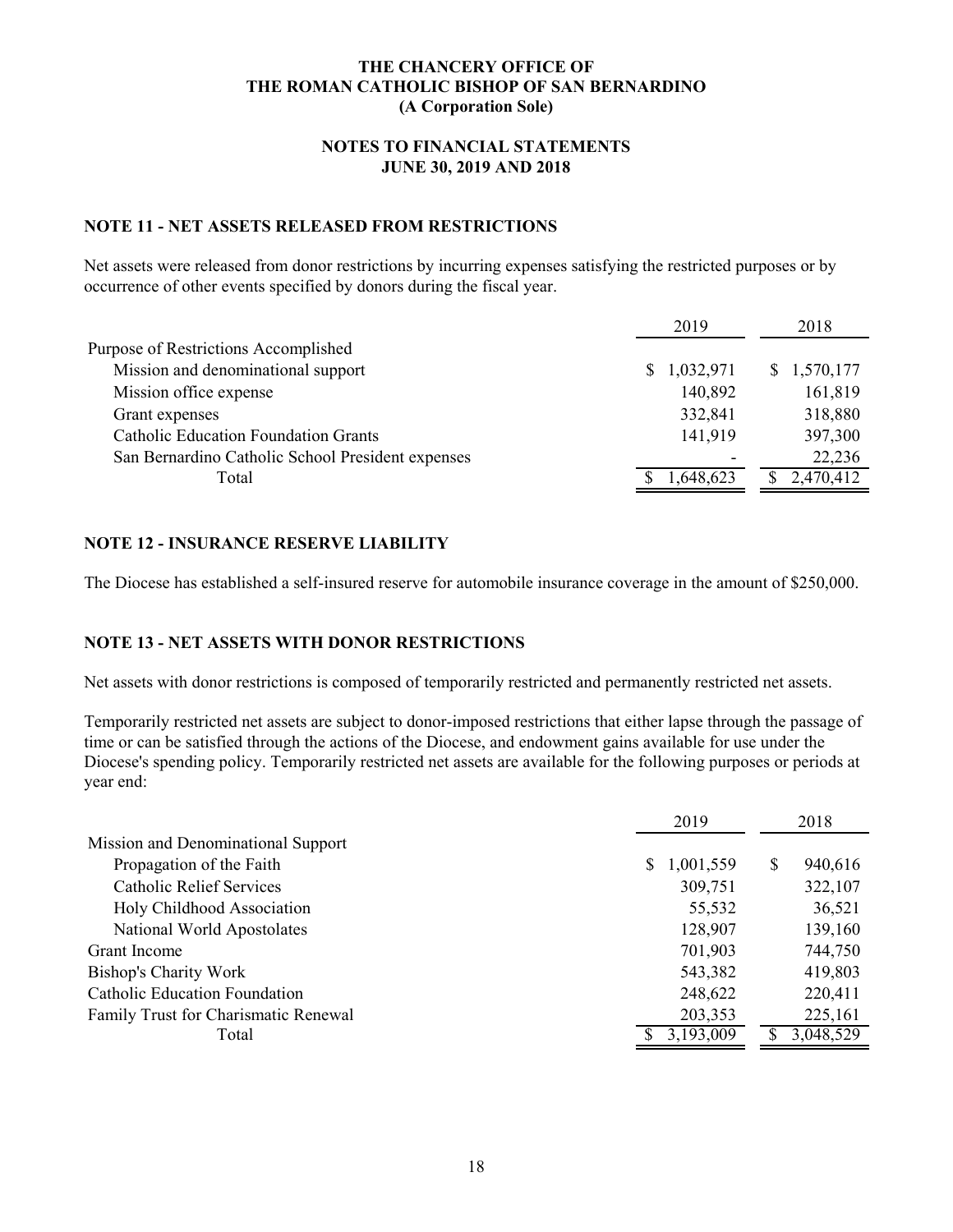# **NOTES TO FINANCIAL STATEMENTS JUNE 30, 2019 AND 2018**

# **NOTE 11 - NET ASSETS RELEASED FROM RESTRICTIONS**

Net assets were released from donor restrictions by incurring expenses satisfying the restricted purposes or by occurrence of other events specified by donors during the fiscal year.

|                                                   | 2019        | 2018        |
|---------------------------------------------------|-------------|-------------|
| Purpose of Restrictions Accomplished              |             |             |
| Mission and denominational support                | \$1,032,971 | \$1,570,177 |
| Mission office expense                            | 140,892     | 161,819     |
| Grant expenses                                    | 332,841     | 318,880     |
| <b>Catholic Education Foundation Grants</b>       | 141,919     | 397,300     |
| San Bernardino Catholic School President expenses |             | 22,236      |
| Total                                             | 1,648,623   | 2,470,412   |

# **NOTE 12 - INSURANCE RESERVE LIABILITY**

The Diocese has established a self-insured reserve for automobile insurance coverage in the amount of \$250,000.

### **NOTE 13 - NET ASSETS WITH DONOR RESTRICTIONS**

Net assets with donor restrictions is composed of temporarily restricted and permanently restricted net assets.

Temporarily restricted net assets are subject to donor-imposed restrictions that either lapse through the passage of time or can be satisfied through the actions of the Diocese, and endowment gains available for use under the Diocese's spending policy. Temporarily restricted net assets are available for the following purposes or periods at year end:

|                                      | 2019            | 2018                    |
|--------------------------------------|-----------------|-------------------------|
| Mission and Denominational Support   |                 |                         |
| Propagation of the Faith             | 1,001,559<br>S. | <sup>S</sup><br>940,616 |
| <b>Catholic Relief Services</b>      | 309,751         | 322,107                 |
| Holy Childhood Association           | 55,532          | 36,521                  |
| National World Apostolates           | 128,907         | 139,160                 |
| Grant Income                         | 701,903         | 744,750                 |
| <b>Bishop's Charity Work</b>         | 543,382         | 419,803                 |
| <b>Catholic Education Foundation</b> | 248,622         | 220,411                 |
| Family Trust for Charismatic Renewal | 203,353         | 225,161                 |
| Total                                | 3,193,009       | 3,048,529               |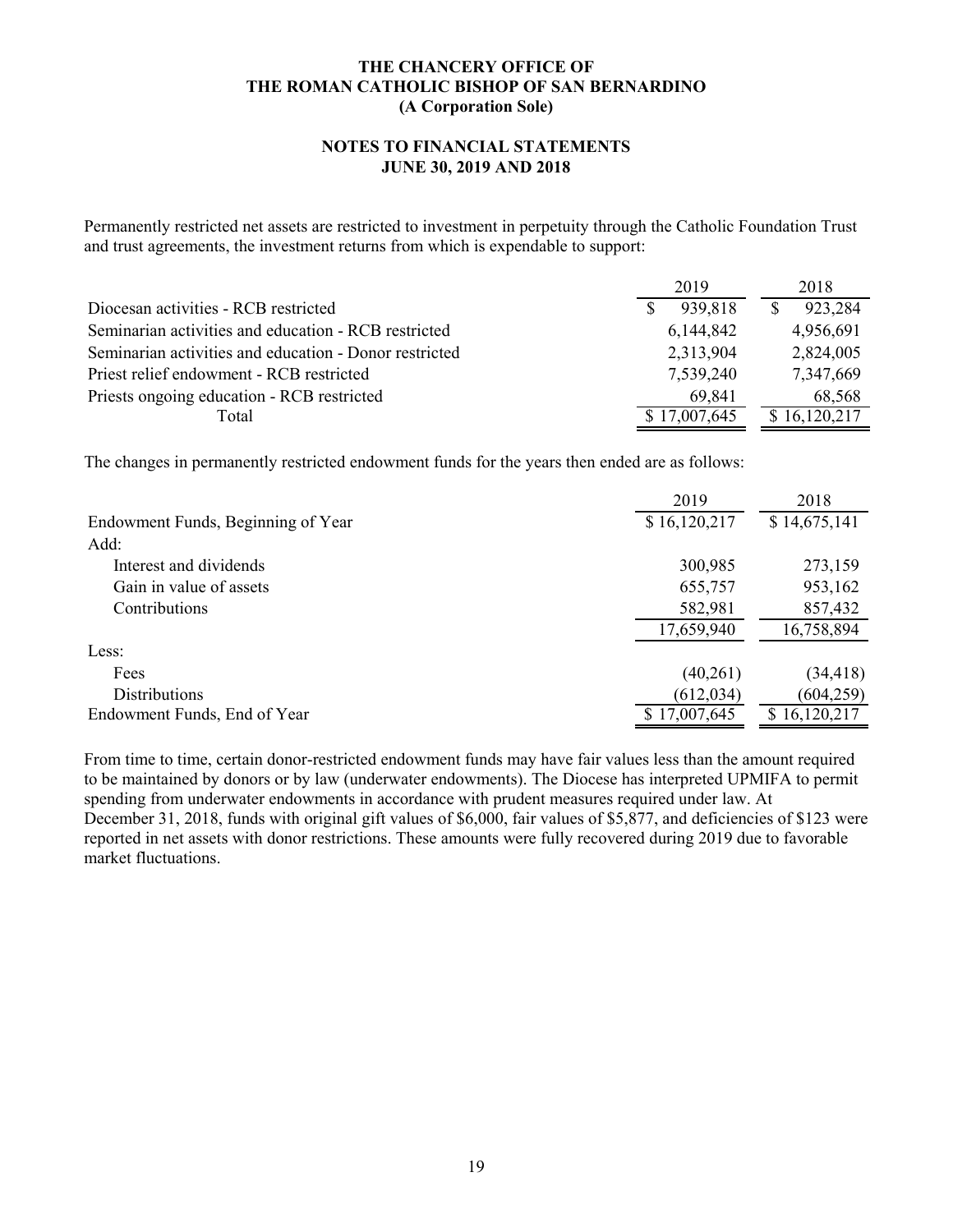#### **NOTES TO FINANCIAL STATEMENTS JUNE 30, 2019 AND 2018**

Permanently restricted net assets are restricted to investment in perpetuity through the Catholic Foundation Trust and trust agreements, the investment returns from which is expendable to support:

|                                                        | 2019         | 2018         |
|--------------------------------------------------------|--------------|--------------|
| Diocesan activities - RCB restricted                   | 939,818      | 923,284      |
| Seminarian activities and education - RCB restricted   | 6, 144, 842  | 4,956,691    |
| Seminarian activities and education - Donor restricted | 2,313,904    | 2,824,005    |
| Priest relief endowment - RCB restricted               | 7,539,240    | 7,347,669    |
| Priests ongoing education - RCB restricted             | 69.841       | 68,568       |
| Total                                                  | \$17,007,645 | \$16,120,217 |

The changes in permanently restricted endowment funds for the years then ended are as follows:

|                                    | 2019         | 2018         |
|------------------------------------|--------------|--------------|
| Endowment Funds, Beginning of Year | \$16,120,217 | \$14,675,141 |
| Add:                               |              |              |
| Interest and dividends             | 300,985      | 273,159      |
| Gain in value of assets            | 655,757      | 953,162      |
| Contributions                      | 582,981      | 857,432      |
|                                    | 17,659,940   | 16,758,894   |
| Less:                              |              |              |
| Fees                               | (40,261)     | (34, 418)    |
| <b>Distributions</b>               | (612, 034)   | (604, 259)   |
| Endowment Funds, End of Year       | \$17,007,645 | 16,120,217   |

From time to time, certain donor-restricted endowment funds may have fair values less than the amount required to be maintained by donors or by law (underwater endowments). The Diocese has interpreted UPMIFA to permit spending from underwater endowments in accordance with prudent measures required under law. At December 31, 2018, funds with original gift values of \$6,000, fair values of \$5,877, and deficiencies of \$123 were reported in net assets with donor restrictions. These amounts were fully recovered during 2019 due to favorable market fluctuations.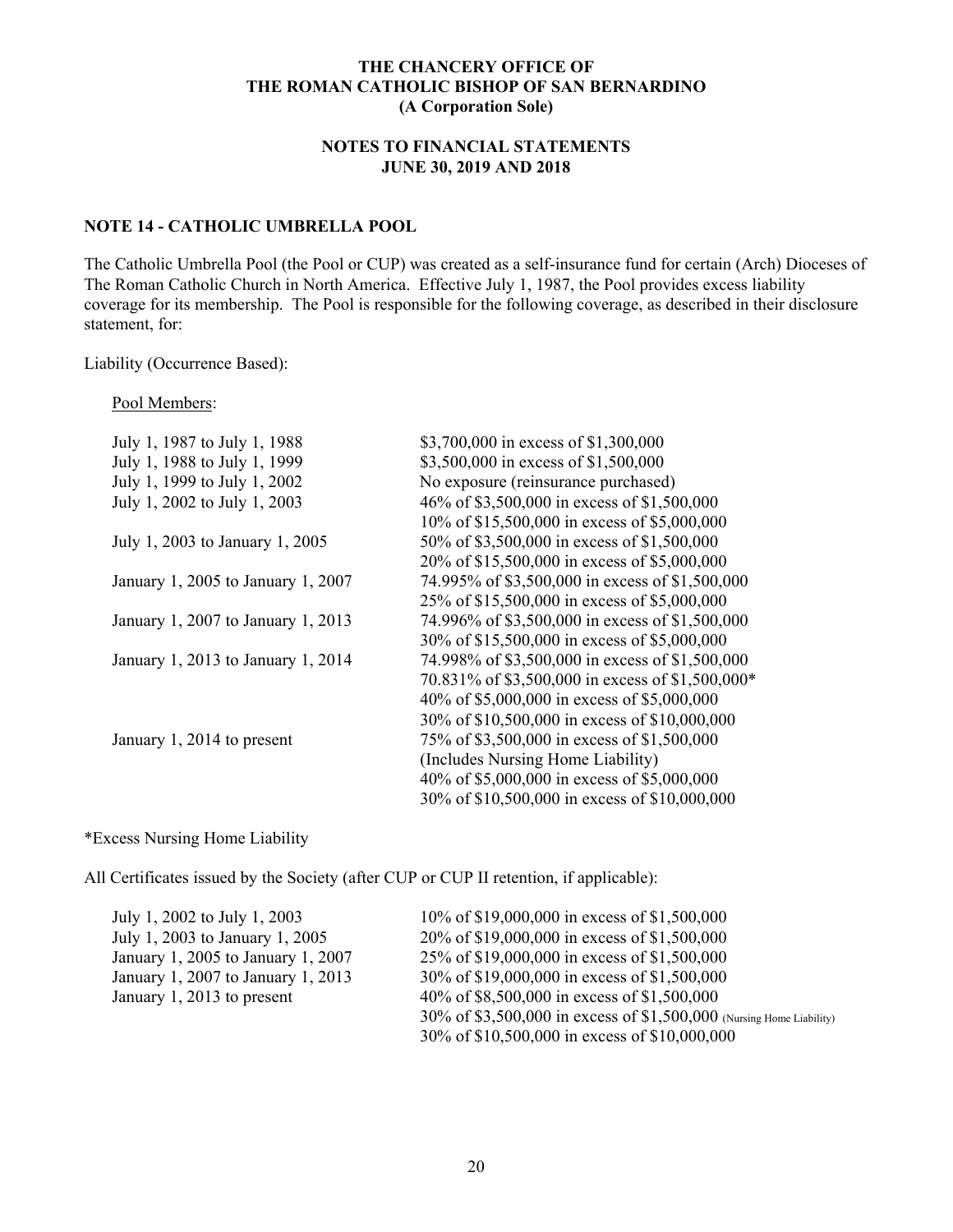## **NOTES TO FINANCIAL STATEMENTS JUNE 30, 2019 AND 2018**

### **NOTE 14 - CATHOLIC UMBRELLA POOL**

The Catholic Umbrella Pool (the Pool or CUP) was created as a self-insurance fund for certain (Arch) Dioceses of The Roman Catholic Church in North America. Effective July 1, 1987, the Pool provides excess liability coverage for its membership. The Pool is responsible for the following coverage, as described in their disclosure statement, for:

#### Liability (Occurrence Based):

#### Pool Members:

| July 1, 1987 to July 1, 1988       | \$3,700,000 in excess of \$1,300,000             |
|------------------------------------|--------------------------------------------------|
| July 1, 1988 to July 1, 1999       | \$3,500,000 in excess of \$1,500,000             |
| July 1, 1999 to July 1, 2002       | No exposure (reinsurance purchased)              |
| July 1, 2002 to July 1, 2003       | 46% of \$3,500,000 in excess of \$1,500,000      |
|                                    | 10% of \$15,500,000 in excess of \$5,000,000     |
| July 1, 2003 to January 1, 2005    | 50% of \$3,500,000 in excess of \$1,500,000      |
|                                    | 20% of \$15,500,000 in excess of \$5,000,000     |
| January 1, 2005 to January 1, 2007 | 74.995% of \$3,500,000 in excess of \$1,500,000  |
|                                    | 25% of \$15,500,000 in excess of \$5,000,000     |
| January 1, 2007 to January 1, 2013 | 74.996% of \$3,500,000 in excess of \$1,500,000  |
|                                    | 30% of \$15,500,000 in excess of \$5,000,000     |
| January 1, 2013 to January 1, 2014 | 74.998% of \$3,500,000 in excess of \$1,500,000  |
|                                    | 70.831% of \$3,500,000 in excess of \$1,500,000* |
|                                    | 40% of \$5,000,000 in excess of \$5,000,000      |
|                                    | 30% of \$10,500,000 in excess of \$10,000,000    |
| January 1, 2014 to present         | 75% of \$3,500,000 in excess of \$1,500,000      |
|                                    | (Includes Nursing Home Liability)                |
|                                    | 40% of \$5,000,000 in excess of \$5,000,000      |
|                                    | 30% of \$10,500,000 in excess of \$10,000,000    |
|                                    |                                                  |

### \*Excess Nursing Home Liability

All Certificates issued by the Society (after CUP or CUP II retention, if applicable):

| July 1, 2002 to July 1, 2003       | 10% of \$19,000,000 in excess of \$1,500,000                         |
|------------------------------------|----------------------------------------------------------------------|
| July 1, 2003 to January 1, 2005    | 20% of \$19,000,000 in excess of \$1,500,000                         |
| January 1, 2005 to January 1, 2007 | 25% of \$19,000,000 in excess of \$1,500,000                         |
| January 1, 2007 to January 1, 2013 | 30% of \$19,000,000 in excess of \$1,500,000                         |
| January 1, 2013 to present         | 40% of \$8,500,000 in excess of \$1,500,000                          |
|                                    | 30% of \$3,500,000 in excess of \$1,500,000 (Nursing Home Liability) |
|                                    | 30% of \$10,500,000 in excess of \$10,000,000                        |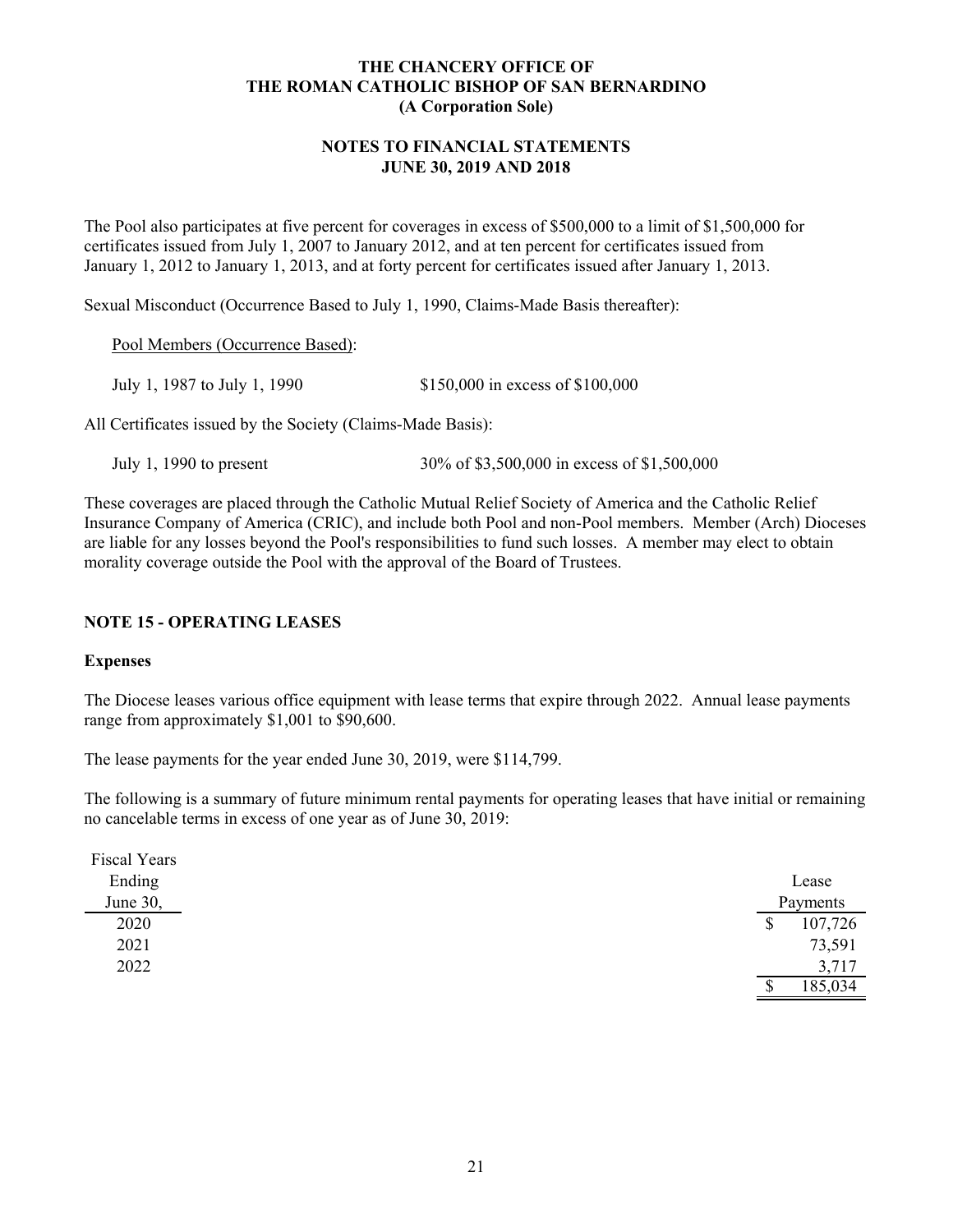#### **NOTES TO FINANCIAL STATEMENTS JUNE 30, 2019 AND 2018**

The Pool also participates at five percent for coverages in excess of \$500,000 to a limit of \$1,500,000 for certificates issued from July 1, 2007 to January 2012, and at ten percent for certificates issued from January 1, 2012 to January 1, 2013, and at forty percent for certificates issued after January 1, 2013.

Sexual Misconduct (Occurrence Based to July 1, 1990, Claims-Made Basis thereafter):

Pool Members (Occurrence Based):

July 1, 1987 to July 1, 1990 \$150,000 in excess of \$100,000

All Certificates issued by the Society (Claims-Made Basis):

July 1, 1990 to present 30% of \$3,500,000 in excess of \$1,500,000

These coverages are placed through the Catholic Mutual Relief Society of America and the Catholic Relief Insurance Company of America (CRIC), and include both Pool and non-Pool members. Member (Arch) Dioceses are liable for any losses beyond the Pool's responsibilities to fund such losses. A member may elect to obtain morality coverage outside the Pool with the approval of the Board of Trustees.

### **NOTE 15 - OPERATING LEASES**

#### **Expenses**

The Diocese leases various office equipment with lease terms that expire through 2022. Annual lease payments range from approximately \$1,001 to \$90,600.

The lease payments for the year ended June 30, 2019, were \$114,799.

The following is a summary of future minimum rental payments for operating leases that have initial or remaining no cancelable terms in excess of one year as of June 30, 2019:

| Fiscal Years |    |          |
|--------------|----|----------|
| Ending       |    | Lease    |
| June 30,     |    | Payments |
| 2020         | \$ | 107,726  |
| 2021         |    | 73,591   |
| 2022         |    | 3,717    |
|              | Φ  | 185,034  |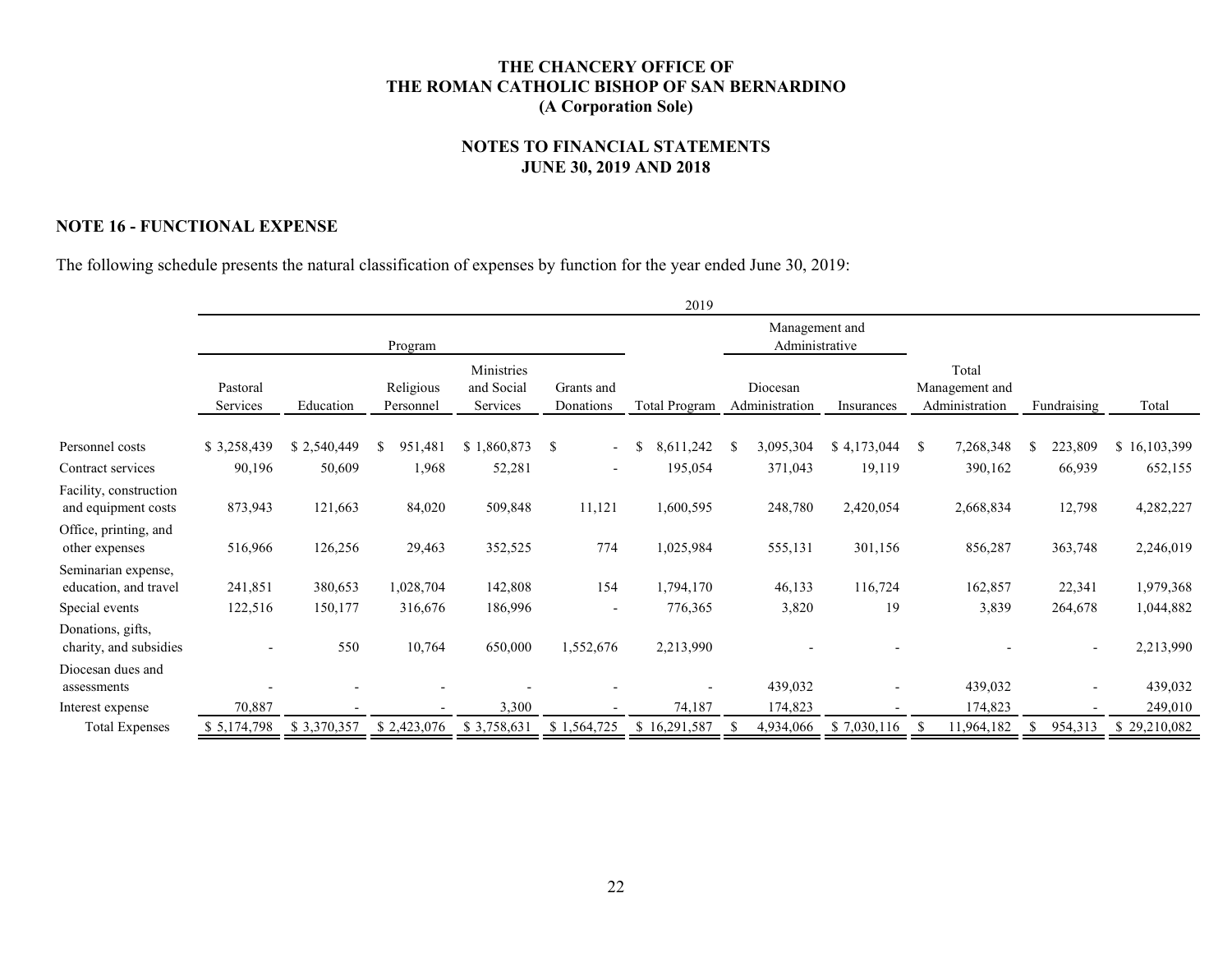#### **NOTES TO FINANCIAL STATEMENTS JUNE 30, 2019 AND 2018**

#### **NOTE 16 - FUNCTIONAL EXPENSE**

The following schedule presents the natural classification of expenses by function for the year ended June 30, 2019:

|                                                               |                      |                    |                        |                                      |                                           | 2019                 |                                  |             |               |                                           |     |             |                        |
|---------------------------------------------------------------|----------------------|--------------------|------------------------|--------------------------------------|-------------------------------------------|----------------------|----------------------------------|-------------|---------------|-------------------------------------------|-----|-------------|------------------------|
|                                                               |                      |                    | Program                |                                      |                                           |                      | Management and<br>Administrative |             |               |                                           |     |             |                        |
|                                                               | Pastoral<br>Services | Education          | Religious<br>Personnel | Ministries<br>and Social<br>Services | Grants and<br>Donations                   | Total Program        | Diocesan<br>Administration       | Insurances  |               | Total<br>Management and<br>Administration |     | Fundraising | Total                  |
| Personnel costs                                               | \$3,258,439          | \$2,540,449        | 951,481                | \$1,860,873                          | <sup>\$</sup><br>$\overline{\phantom{0}}$ | 8,611,242            | 3,095,304                        | \$4,173,044 | \$            | 7,268,348                                 | S   | 223,809     | \$16,103,399           |
| Contract services                                             | 90,196               | 50,609             | 1,968                  | 52,281                               | $\overline{\phantom{a}}$                  | 195,054              | 371,043                          | 19,119      |               | 390,162                                   |     | 66,939      | 652,155                |
| Facility, construction<br>and equipment costs                 | 873,943              | 121,663            | 84,020                 | 509,848                              | 11,121                                    | 1,600,595            | 248,780                          | 2,420,054   |               | 2,668,834                                 |     | 12,798      | 4,282,227              |
| Office, printing, and<br>other expenses                       | 516,966              | 126,256            | 29,463                 | 352,525                              | 774                                       | 1,025,984            | 555,131                          | 301,156     |               | 856,287                                   |     | 363,748     | 2,246,019              |
| Seminarian expense,<br>education, and travel                  | 241,851              | 380,653<br>150,177 | 1,028,704              | 142,808                              | 154                                       | 1,794,170            | 46,133                           | 116,724     |               | 162,857                                   |     | 22,341      | 1,979,368              |
| Special events<br>Donations, gifts,<br>charity, and subsidies | 122,516              | 550                | 316,676<br>10,764      | 186,996<br>650,000                   | $\overline{\phantom{a}}$<br>1,552,676     | 776,365<br>2,213,990 | 3,820                            | 19          |               | 3,839                                     |     | 264,678     | 1,044,882<br>2,213,990 |
| Diocesan dues and<br>assessments                              |                      |                    |                        |                                      |                                           |                      | 439,032                          |             |               | 439,032                                   |     |             | 439,032                |
| Interest expense                                              | 70,887               |                    |                        | 3,300                                |                                           | 74,187               | 174,823                          |             |               | 174,823                                   |     |             | 249,010                |
| <b>Total Expenses</b>                                         | \$5,174,798          | \$3,370,357        | \$2,423,076            | \$3,758,631                          | \$1,564,725                               | \$16,291,587         | 4,934,066                        | \$7,030,116 | <sup>\$</sup> | 11,964,182                                | \$. | 954,313     | \$29,210,082           |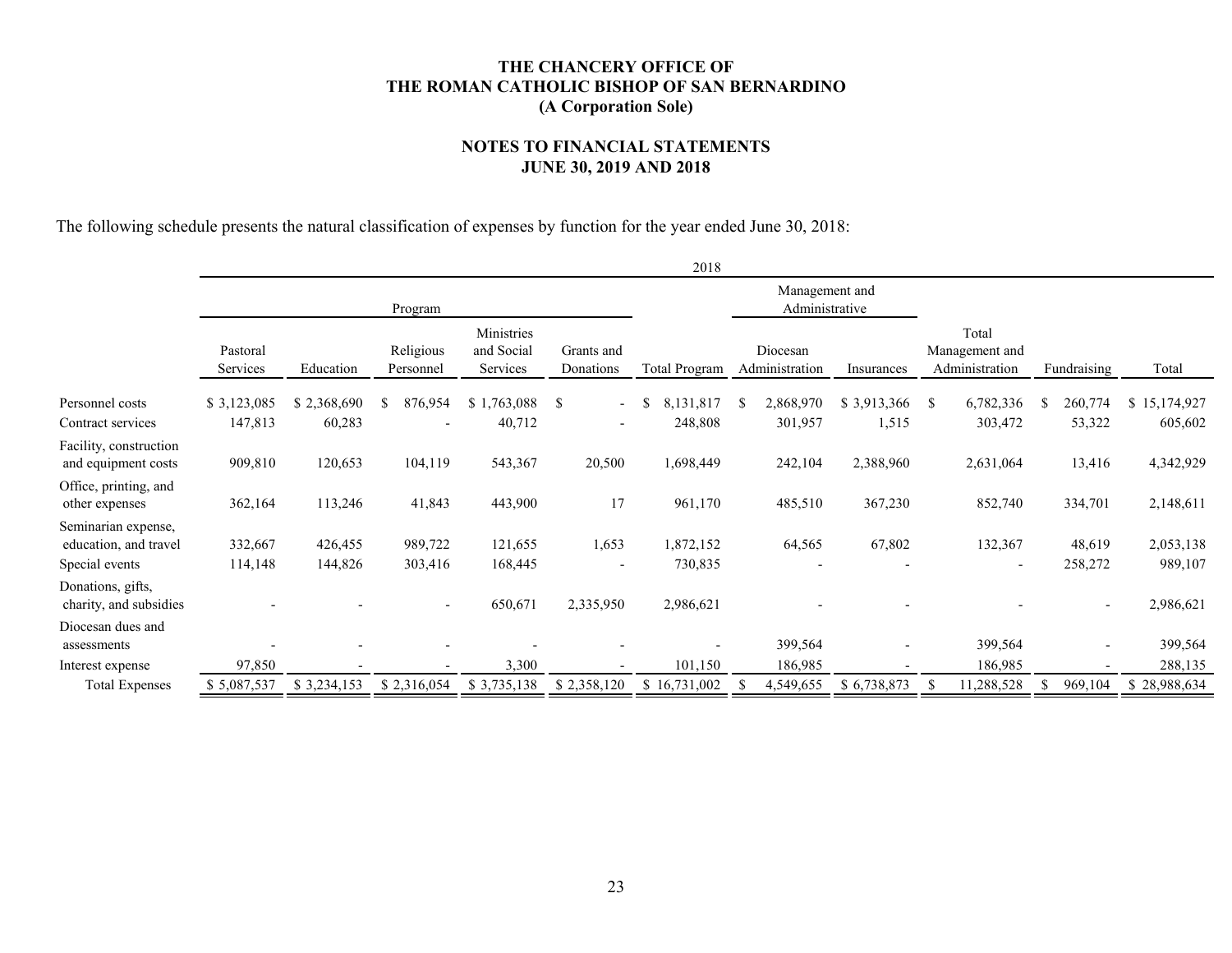#### **NOTES TO FINANCIAL STATEMENTS JUNE 30, 2019 AND 2018**

The following schedule presents the natural classification of expenses by function for the year ended June 30, 2018:

|                                               | 2018                 |             |                        |                                      |                                           |                            |               |                            |             |                                           |                          |    |             |              |
|-----------------------------------------------|----------------------|-------------|------------------------|--------------------------------------|-------------------------------------------|----------------------------|---------------|----------------------------|-------------|-------------------------------------------|--------------------------|----|-------------|--------------|
|                                               |                      |             |                        | Management and<br>Administrative     |                                           |                            |               |                            |             |                                           |                          |    |             |              |
|                                               | Pastoral<br>Services | Education   | Religious<br>Personnel | Ministries<br>and Social<br>Services | Grants and<br>Donations                   | <b>Total Program</b>       |               | Diocesan<br>Administration | Insurances  | Total<br>Management and<br>Administration |                          |    | Fundraising | Total        |
| Personnel costs                               | \$3,123,085          | \$2,368,690 | 876,954<br>\$          | \$1,763,088                          | <sup>\$</sup><br>$\overline{\phantom{a}}$ | 8,131,817<br><sup>\$</sup> | <sup>\$</sup> | 2,868,970                  | \$3,913,366 | <sup>\$</sup>                             | 6,782,336                | -S | 260,774     | \$15,174,927 |
| Contract services                             | 147,813              | 60,283      |                        | 40,712                               | $\overline{\phantom{a}}$                  | 248,808                    |               | 301,957                    | 1,515       |                                           | 303,472                  |    | 53,322      | 605,602      |
| Facility, construction<br>and equipment costs | 909,810              | 120,653     | 104,119                | 543,367                              | 20,500                                    | 1,698,449                  |               | 242,104                    | 2,388,960   |                                           | 2,631,064                |    | 13,416      | 4,342,929    |
| Office, printing, and<br>other expenses       | 362,164              | 113,246     | 41,843                 | 443,900                              | 17                                        | 961,170                    |               | 485,510                    | 367,230     |                                           | 852,740                  |    | 334,701     | 2,148,611    |
| Seminarian expense,<br>education, and travel  | 332,667              | 426,455     | 989,722<br>303,416     | 121,655                              | 1,653                                     | 1,872,152                  |               | 64,565                     | 67,802      |                                           | 132,367                  |    | 48,619      | 2,053,138    |
| Special events                                | 114,148              | 144,826     |                        | 168,445                              | $\overline{\phantom{a}}$                  | 730,835                    |               |                            |             |                                           | $\overline{\phantom{a}}$ |    | 258,272     | 989,107      |
| Donations, gifts,<br>charity, and subsidies   |                      |             |                        | 650,671                              | 2,335,950                                 | 2,986,621                  |               |                            |             |                                           |                          |    |             | 2,986,621    |
| Diocesan dues and<br>assessments              |                      |             |                        |                                      |                                           |                            |               | 399,564                    |             |                                           | 399,564                  |    |             | 399,564      |
| Interest expense                              | 97,850               |             |                        | 3,300                                |                                           | 101,150                    |               | 186,985                    |             |                                           | 186,985                  |    |             | 288,135      |
| <b>Total Expenses</b>                         | \$5,087,537          | \$3,234,153 | \$2,316,054            | \$3,735,138                          | \$2,358,120                               | \$16,731,002               |               | 4,549,655                  | \$6,738,873 |                                           | 1,288,528                |    | 969,104     | \$28,988,634 |